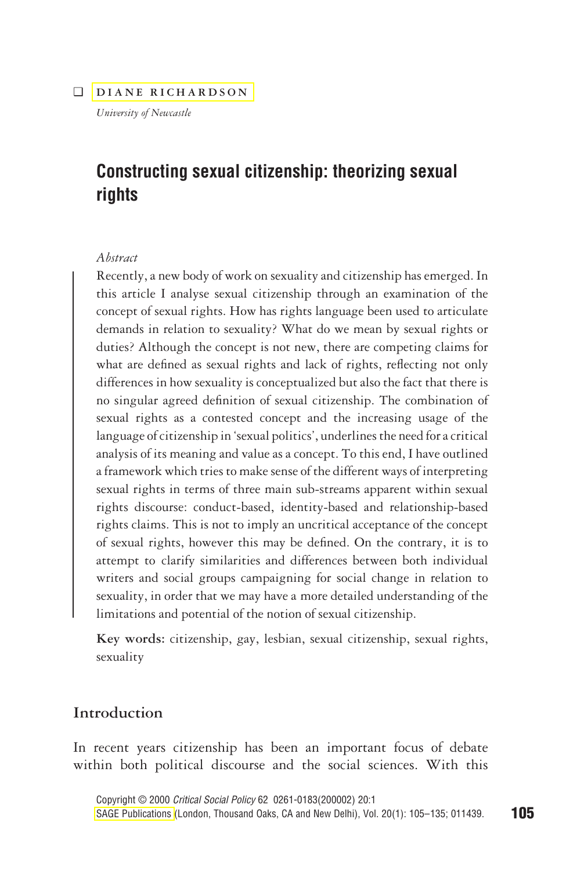#### ❑ **[DIANE RICHARDSON](#page-29-0)**

*University of Newcastle*

# **Constructing sexual citizenship: theorizing sexual rights**

#### *Abstract*

Recently, a new body of work on sexuality and citizenship has emerged. In this article I analyse sexual citizenship through an examination of the concept of sexual rights. How has rights language been used to articulate demands in relation to sexuality? What do we mean by sexual rights or duties? Although the concept is not new, there are competing claims for what are defined as sexual rights and lack of rights, reflecting not only differences in how sexuality is conceptualized but also the fact that there is no singular agreed definition of sexual citizenship. The combination of sexual rights as a contested concept and the increasing usage of the language of citizenship in 'sexual politics', underlines the need for a critical analysis of its meaning and value as a concept. To this end, I have outlined a framework which tries to make sense of the different ways of interpreting sexual rights in terms of three main sub-streams apparent within sexual rights discourse: conduct-based, identity-based and relationship-based rights claims. This is not to imply an uncritical acceptance of the concept of sexual rights, however this may be defined. On the contrary, it is to attempt to clarify similarities and differences between both individual writers and social groups campaigning for social change in relation to sexuality, in order that we may have a more detailed understanding of the limitations and potential of the notion of sexual citizenship.

**Key words:** citizenship, gay, lesbian, sexual citizenship, sexual rights, sexuality

#### **Introduction**

In recent years citizenship has been an important focus of debate within both political discourse and the social sciences. With this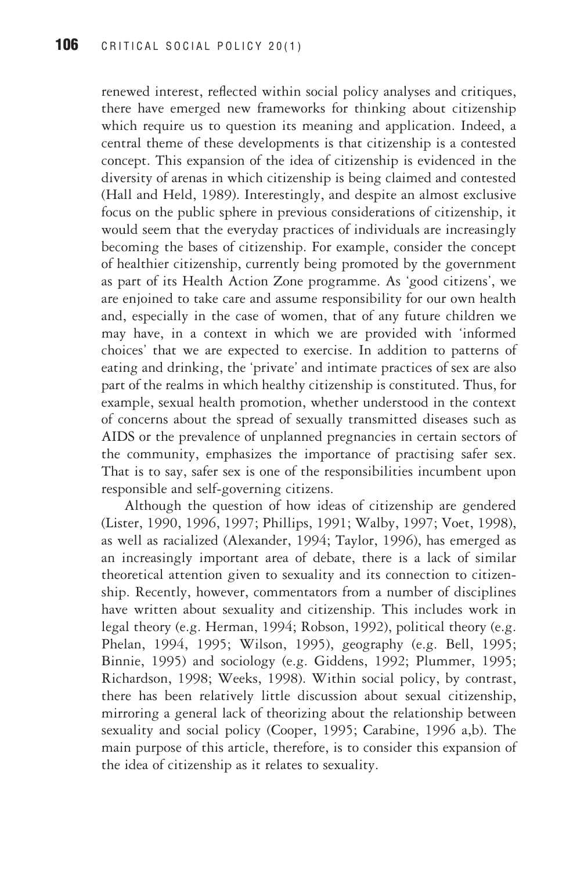renewed interest, reflected within social policy analyses and critiques, there have emerged new frameworks for thinking about citizenship which require us to question its meaning and application. Indeed, a central theme of these developments is that citizenship is a contested concept. This expansion of the idea of citizenship is evidenced in the diversity of arenas in which citizenship is being claimed and contested (Hall and Held, 1989). Interestingly, and despite an almost exclusive focus on the public sphere in previous considerations of citizenship, it would seem that the everyday practices of individuals are increasingly becoming the bases of citizenship. For example, consider the concept of healthier citizenship, currently being promoted by the government as part of its Health Action Zone programme. As 'good citizens', we are enjoined to take care and assume responsibility for our own health and, especially in the case of women, that of any future children we may have, in a context in which we are provided with 'informed choices' that we are expected to exercise. In addition to patterns of eating and drinking, the 'private' and intimate practices of sex are also part of the realms in which healthy citizenship is constituted. Thus, for example, sexual health promotion, whether understood in the context of concerns about the spread of sexually transmitted diseases such as AIDS or the prevalence of unplanned pregnancies in certain sectors of the community, emphasizes the importance of practising safer sex. That is to say, safer sex is one of the responsibilities incumbent upon responsible and self-governing citizens.

Although the question of how ideas of citizenship are gendered (Lister, 1990, 1996, 1997; Phillips, 1991; Walby, 1997; Voet, 1998), as well as racialized (Alexander, 1994; Taylor, 1996), has emerged as an increasingly important area of debate, there is a lack of similar theoretical attention given to sexuality and its connection to citizenship. Recently, however, commentators from a number of disciplines have written about sexuality and citizenship. This includes work in legal theory (e.g. Herman, 1994; Robson, 1992), political theory (e.g. Phelan, 1994, 1995; Wilson, 1995), geography (e.g. Bell, 1995; Binnie, 1995) and sociology (e.g. Giddens, 1992; Plummer, 1995; Richardson, 1998; Weeks, 1998). Within social policy, by contrast, there has been relatively little discussion about sexual citizenship, mirroring a general lack of theorizing about the relationship between sexuality and social policy (Cooper, 1995; Carabine, 1996 a,b). The main purpose of this article, therefore, is to consider this expansion of the idea of citizenship as it relates to sexuality.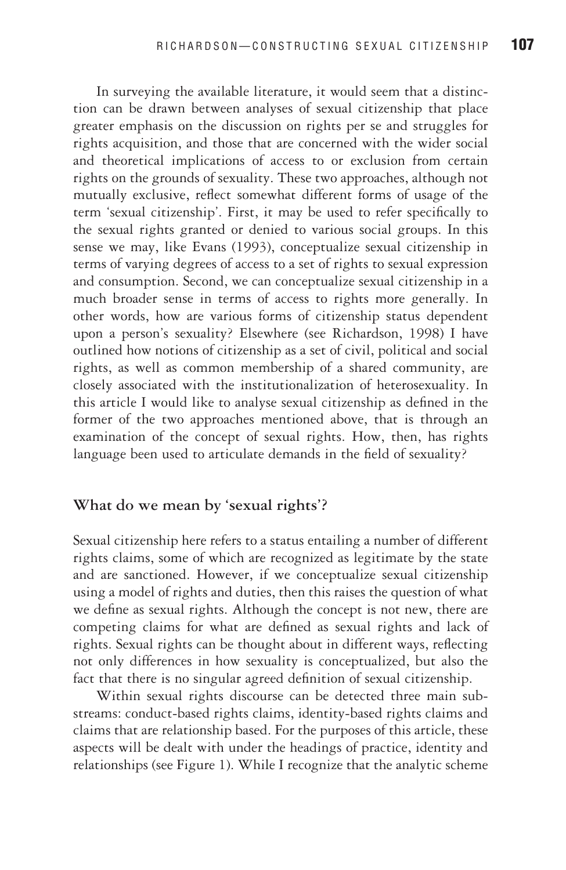In surveying the available literature, it would seem that a distinction can be drawn between analyses of sexual citizenship that place greater emphasis on the discussion on rights per se and struggles for rights acquisition, and those that are concerned with the wider social and theoretical implications of access to or exclusion from certain rights on the grounds of sexuality. These two approaches, although not mutually exclusive, reflect somewhat different forms of usage of the term 'sexual citizenship'. First, it may be used to refer specifically to the sexual rights granted or denied to various social groups. In this sense we may, like Evans (1993), conceptualize sexual citizenship in terms of varying degrees of access to a set of rights to sexual expression and consumption. Second, we can conceptualize sexual citizenship in a much broader sense in terms of access to rights more generally. In other words, how are various forms of citizenship status dependent upon a person's sexuality? Elsewhere (see Richardson, 1998) I have outlined how notions of citizenship as a set of civil, political and social rights, as well as common membership of a shared community, are closely associated with the institutionalization of heterosexuality. In this article I would like to analyse sexual citizenship as defined in the former of the two approaches mentioned above, that is through an examination of the concept of sexual rights. How, then, has rights language been used to articulate demands in the field of sexuality?

#### **What do we mean by 'sexual rights'?**

Sexual citizenship here refers to a status entailing a number of different rights claims, some of which are recognized as legitimate by the state and are sanctioned. However, if we conceptualize sexual citizenship using a model of rights and duties, then this raises the question of what we define as sexual rights. Although the concept is not new, there are competing claims for what are defined as sexual rights and lack of rights. Sexual rights can be thought about in different ways, reflecting not only differences in how sexuality is conceptualized, but also the fact that there is no singular agreed definition of sexual citizenship.

Within sexual rights discourse can be detected three main substreams: conduct-based rights claims, identity-based rights claims and claims that are relationship based. For the purposes of this article, these aspects will be dealt with under the headings of practice, identity and relationships (see Figure 1). While I recognize that the analytic scheme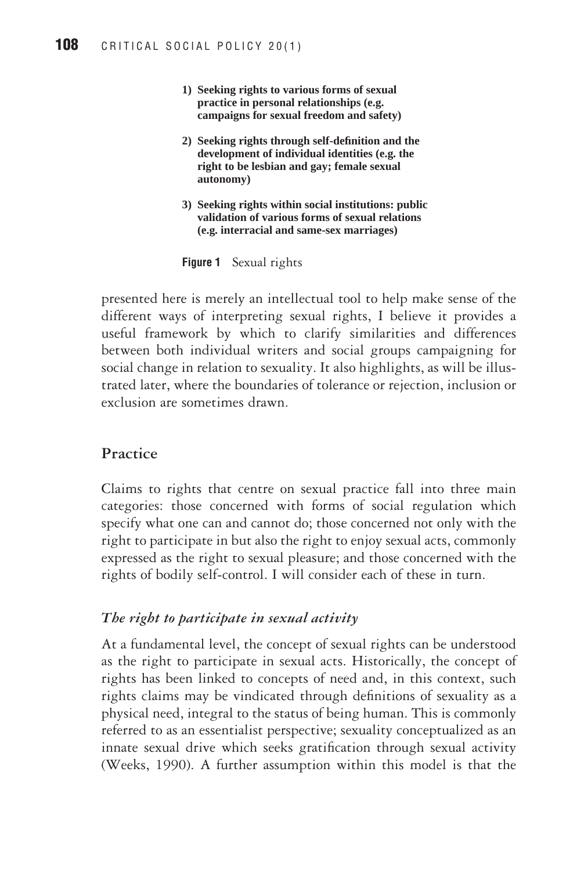- **1) Seeking rights to various forms of sexual practice in personal relationships (e.g. campaigns for sexual freedom and safety)**
- **2) Seeking rights through self-definition and the development of individual identities (e.g. the right to be lesbian and gay; female sexual autonomy)**
- **3) Seeking rights within social institutions: public validation of various forms of sexual relations (e.g. interracial and same-sex marriages)**

**Figure 1** Sexual rights

presented here is merely an intellectual tool to help make sense of the different ways of interpreting sexual rights, I believe it provides a useful framework by which to clarify similarities and differences between both individual writers and social groups campaigning for social change in relation to sexuality. It also highlights, as will be illustrated later, where the boundaries of tolerance or rejection, inclusion or exclusion are sometimes drawn.

## **Practice**

Claims to rights that centre on sexual practice fall into three main categories: those concerned with forms of social regulation which specify what one can and cannot do; those concerned not only with the right to participate in but also the right to enjoy sexual acts, commonly expressed as the right to sexual pleasure; and those concerned with the rights of bodily self-control. I will consider each of these in turn.

## *The right to participate in sexual activity*

At a fundamental level, the concept of sexual rights can be understood as the right to participate in sexual acts. Historically, the concept of rights has been linked to concepts of need and, in this context, such rights claims may be vindicated through definitions of sexuality as a physical need, integral to the status of being human. This is commonly referred to as an essentialist perspective; sexuality conceptualized as an innate sexual drive which seeks gratification through sexual activity (Weeks, 1990). A further assumption within this model is that the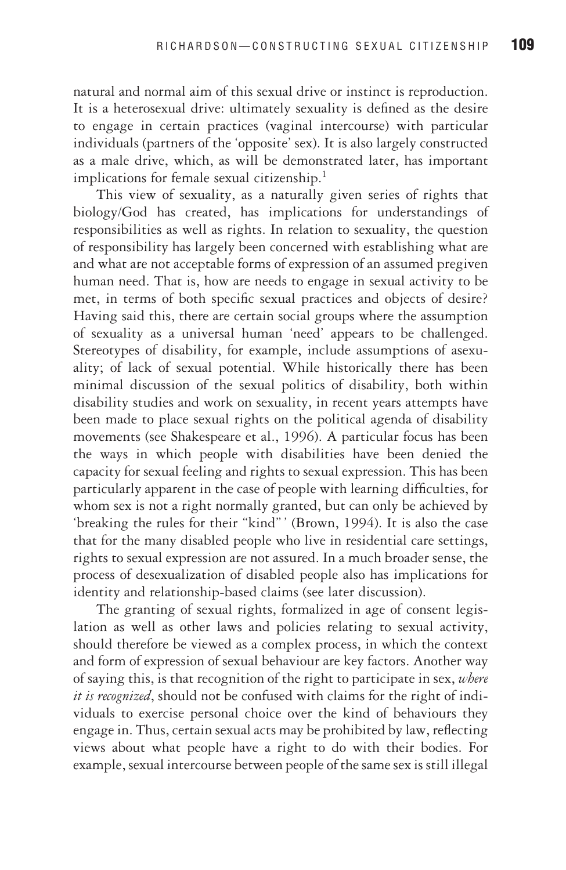natural and normal aim of this sexual drive or instinct is reproduction. It is a heterosexual drive: ultimately sexuality is defined as the desire to engage in certain practices (vaginal intercourse) with particular individuals (partners of the 'opposite' sex). It is also largely constructed as a male drive, which, as will be demonstrated later, has important implications for female sexual citizenship.<sup>1</sup>

This view of sexuality, as a naturally given series of rights that biology/God has created, has implications for understandings of responsibilities as well as rights. In relation to sexuality, the question of responsibility has largely been concerned with establishing what are and what are not acceptable forms of expression of an assumed pregiven human need. That is, how are needs to engage in sexual activity to be met, in terms of both specific sexual practices and objects of desire? Having said this, there are certain social groups where the assumption of sexuality as a universal human 'need' appears to be challenged. Stereotypes of disability, for example, include assumptions of asexuality; of lack of sexual potential. While historically there has been minimal discussion of the sexual politics of disability, both within disability studies and work on sexuality, in recent years attempts have been made to place sexual rights on the political agenda of disability movements (see Shakespeare et al., 1996). A particular focus has been the ways in which people with disabilities have been denied the capacity for sexual feeling and rights to sexual expression. This has been particularly apparent in the case of people with learning difficulties, for whom sex is not a right normally granted, but can only be achieved by 'breaking the rules for their "kind" ' (Brown, 1994). It is also the case that for the many disabled people who live in residential care settings, rights to sexual expression are not assured. In a much broader sense, the process of desexualization of disabled people also has implications for identity and relationship-based claims (see later discussion).

The granting of sexual rights, formalized in age of consent legislation as well as other laws and policies relating to sexual activity, should therefore be viewed as a complex process, in which the context and form of expression of sexual behaviour are key factors. Another way of saying this, is that recognition of the right to participate in sex, *where it is recognized*, should not be confused with claims for the right of individuals to exercise personal choice over the kind of behaviours they engage in. Thus, certain sexual acts may be prohibited by law, reflecting views about what people have a right to do with their bodies. For example, sexual intercourse between people of the same sex is still illegal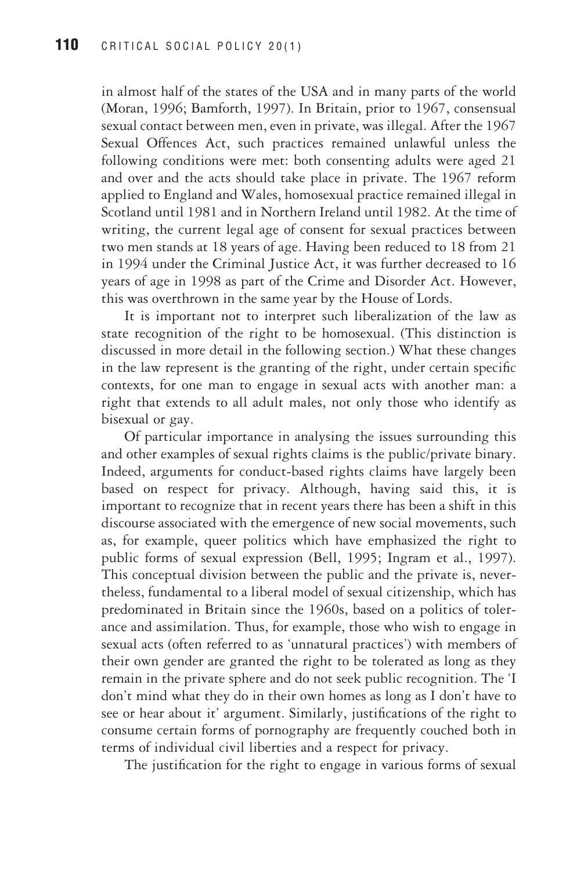in almost half of the states of the USA and in many parts of the world (Moran, 1996; Bamforth, 1997). In Britain, prior to 1967, consensual sexual contact between men, even in private, was illegal. After the 1967 Sexual Offences Act, such practices remained unlawful unless the following conditions were met: both consenting adults were aged 21 and over and the acts should take place in private. The 1967 reform applied to England and Wales, homosexual practice remained illegal in Scotland until 1981 and in Northern Ireland until 1982. At the time of writing, the current legal age of consent for sexual practices between two men stands at 18 years of age. Having been reduced to 18 from 21 in 1994 under the Criminal Justice Act, it was further decreased to 16 years of age in 1998 as part of the Crime and Disorder Act. However, this was overthrown in the same year by the House of Lords.

It is important not to interpret such liberalization of the law as state recognition of the right to be homosexual. (This distinction is discussed in more detail in the following section.) What these changes in the law represent is the granting of the right, under certain specific contexts, for one man to engage in sexual acts with another man: a right that extends to all adult males, not only those who identify as bisexual or gay.

Of particular importance in analysing the issues surrounding this and other examples of sexual rights claims is the public/private binary. Indeed, arguments for conduct-based rights claims have largely been based on respect for privacy. Although, having said this, it is important to recognize that in recent years there has been a shift in this discourse associated with the emergence of new social movements, such as, for example, queer politics which have emphasized the right to public forms of sexual expression (Bell, 1995; Ingram et al., 1997). This conceptual division between the public and the private is, nevertheless, fundamental to a liberal model of sexual citizenship, which has predominated in Britain since the 1960s, based on a politics of tolerance and assimilation. Thus, for example, those who wish to engage in sexual acts (often referred to as 'unnatural practices') with members of their own gender are granted the right to be tolerated as long as they remain in the private sphere and do not seek public recognition. The 'I don't mind what they do in their own homes as long as I don't have to see or hear about it' argument. Similarly, justifications of the right to consume certain forms of pornography are frequently couched both in terms of individual civil liberties and a respect for privacy.

The justification for the right to engage in various forms of sexual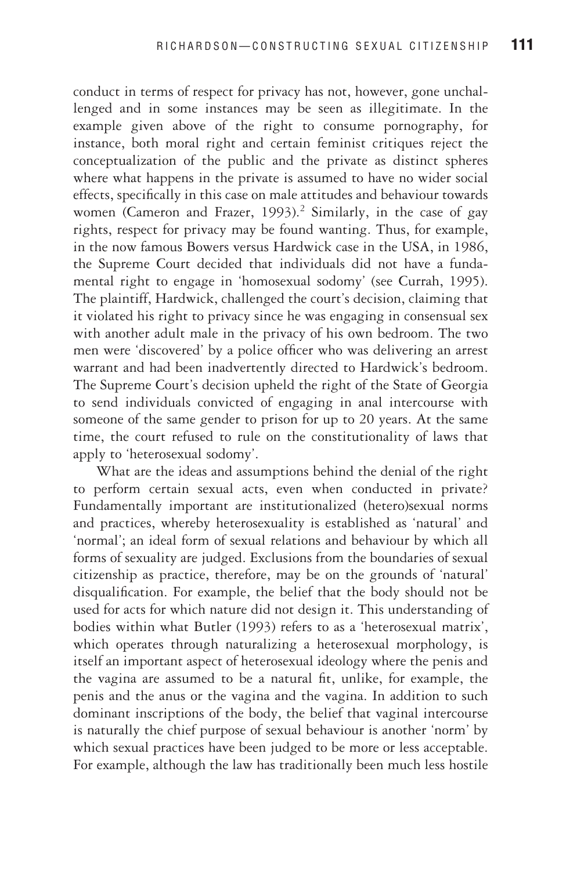conduct in terms of respect for privacy has not, however, gone unchallenged and in some instances may be seen as illegitimate. In the example given above of the right to consume pornography, for instance, both moral right and certain feminist critiques reject the conceptualization of the public and the private as distinct spheres where what happens in the private is assumed to have no wider social effects, specifically in this case on male attitudes and behaviour towards women (Cameron and Frazer, 1993).<sup>2</sup> Similarly, in the case of gay rights, respect for privacy may be found wanting. Thus, for example, in the now famous Bowers versus Hardwick case in the USA, in 1986, the Supreme Court decided that individuals did not have a fundamental right to engage in 'homosexual sodomy' (see Currah, 1995). The plaintiff, Hardwick, challenged the court's decision, claiming that it violated his right to privacy since he was engaging in consensual sex with another adult male in the privacy of his own bedroom. The two men were 'discovered' by a police officer who was delivering an arrest warrant and had been inadvertently directed to Hardwick's bedroom. The Supreme Court's decision upheld the right of the State of Georgia to send individuals convicted of engaging in anal intercourse with someone of the same gender to prison for up to 20 years. At the same time, the court refused to rule on the constitutionality of laws that apply to 'heterosexual sodomy'.

What are the ideas and assumptions behind the denial of the right to perform certain sexual acts, even when conducted in private? Fundamentally important are institutionalized (hetero)sexual norms and practices, whereby heterosexuality is established as 'natural' and 'normal'; an ideal form of sexual relations and behaviour by which all forms of sexuality are judged. Exclusions from the boundaries of sexual citizenship as practice, therefore, may be on the grounds of 'natural' disqualification. For example, the belief that the body should not be used for acts for which nature did not design it. This understanding of bodies within what Butler (1993) refers to as a 'heterosexual matrix', which operates through naturalizing a heterosexual morphology, is itself an important aspect of heterosexual ideology where the penis and the vagina are assumed to be a natural fit, unlike, for example, the penis and the anus or the vagina and the vagina. In addition to such dominant inscriptions of the body, the belief that vaginal intercourse is naturally the chief purpose of sexual behaviour is another 'norm' by which sexual practices have been judged to be more or less acceptable. For example, although the law has traditionally been much less hostile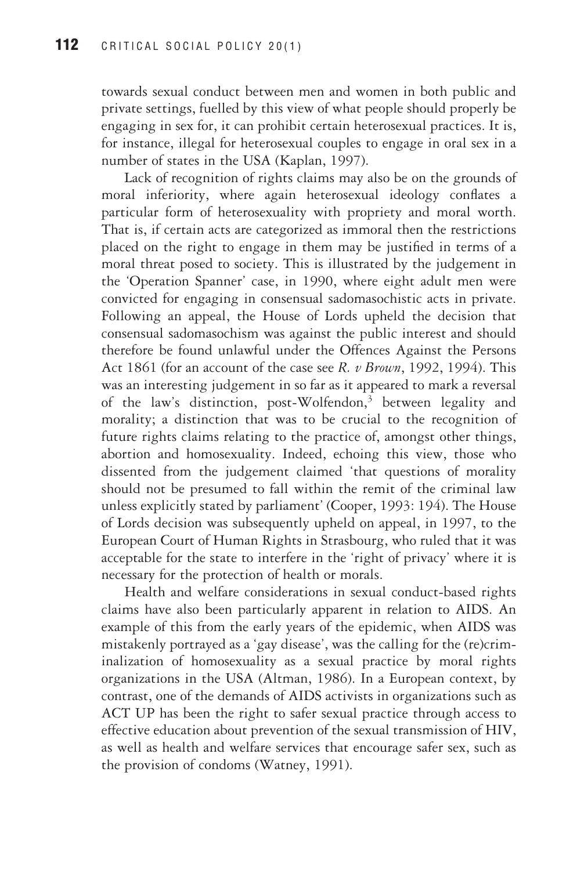towards sexual conduct between men and women in both public and private settings, fuelled by this view of what people should properly be engaging in sex for, it can prohibit certain heterosexual practices. It is, for instance, illegal for heterosexual couples to engage in oral sex in a number of states in the USA (Kaplan, 1997).

Lack of recognition of rights claims may also be on the grounds of moral inferiority, where again heterosexual ideology conflates a particular form of heterosexuality with propriety and moral worth. That is, if certain acts are categorized as immoral then the restrictions placed on the right to engage in them may be justified in terms of a moral threat posed to society. This is illustrated by the judgement in the 'Operation Spanner' case, in 1990, where eight adult men were convicted for engaging in consensual sadomasochistic acts in private. Following an appeal, the House of Lords upheld the decision that consensual sadomasochism was against the public interest and should therefore be found unlawful under the Offences Against the Persons Act 1861 (for an account of the case see *R. v Brown*, 1992, 1994). This was an interesting judgement in so far as it appeared to mark a reversal of the law's distinction, post-Wolfendon,<sup>3</sup> between legality and morality; a distinction that was to be crucial to the recognition of future rights claims relating to the practice of, amongst other things, abortion and homosexuality. Indeed, echoing this view, those who dissented from the judgement claimed 'that questions of morality should not be presumed to fall within the remit of the criminal law unless explicitly stated by parliament' (Cooper, 1993: 194). The House of Lords decision was subsequently upheld on appeal, in 1997, to the European Court of Human Rights in Strasbourg, who ruled that it was acceptable for the state to interfere in the 'right of privacy' where it is necessary for the protection of health or morals.

Health and welfare considerations in sexual conduct-based rights claims have also been particularly apparent in relation to AIDS. An example of this from the early years of the epidemic, when AIDS was mistakenly portrayed as a 'gay disease', was the calling for the (re)criminalization of homosexuality as a sexual practice by moral rights organizations in the USA (Altman, 1986). In a European context, by contrast, one of the demands of AIDS activists in organizations such as ACT UP has been the right to safer sexual practice through access to effective education about prevention of the sexual transmission of HIV, as well as health and welfare services that encourage safer sex, such as the provision of condoms (Watney, 1991).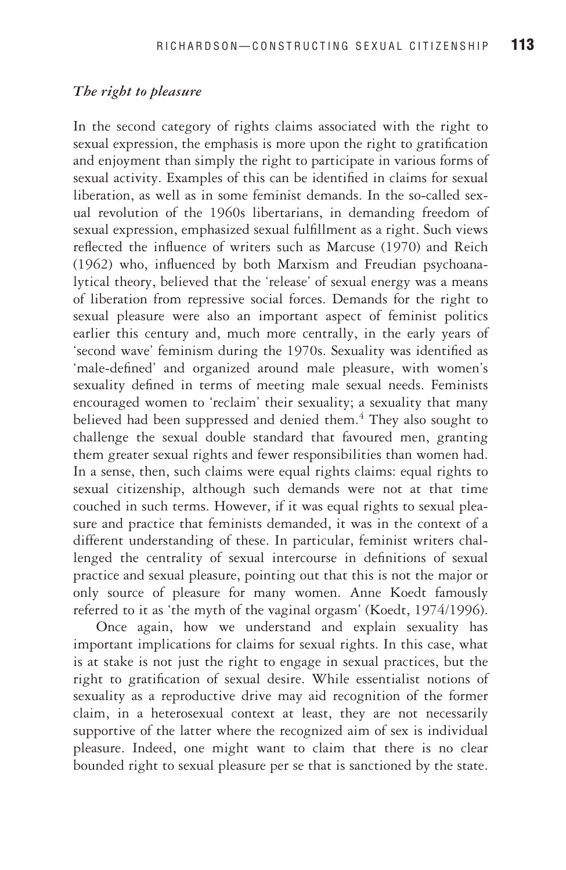## *The right to pleasure*

In the second category of rights claims associated with the right to sexual expression, the emphasis is more upon the right to gratification and enjoyment than simply the right to participate in various forms of sexual activity. Examples of this can be identified in claims for sexual liberation, as well as in some feminist demands. In the so-called sexual revolution of the 1960s libertarians, in demanding freedom of sexual expression, emphasized sexual fulfillment as a right. Such views reflected the influence of writers such as Marcuse (1970) and Reich (1962) who, influenced by both Marxism and Freudian psychoanalytical theory, believed that the 'release' of sexual energy was a means of liberation from repressive social forces. Demands for the right to sexual pleasure were also an important aspect of feminist politics earlier this century and, much more centrally, in the early years of 'second wave' feminism during the 1970s. Sexuality was identified as 'male-defined' and organized around male pleasure, with women's sexuality defined in terms of meeting male sexual needs. Feminists encouraged women to 'reclaim' their sexuality; a sexuality that many believed had been suppressed and denied them.<sup>4</sup> They also sought to challenge the sexual double standard that favoured men, granting them greater sexual rights and fewer responsibilities than women had. In a sense, then, such claims were equal rights claims: equal rights to sexual citizenship, although such demands were not at that time couched in such terms. However, if it was equal rights to sexual pleasure and practice that feminists demanded, it was in the context of a different understanding of these. In particular, feminist writers challenged the centrality of sexual intercourse in definitions of sexual practice and sexual pleasure, pointing out that this is not the major or only source of pleasure for many women. Anne Koedt famously referred to it as 'the myth of the vaginal orgasm' (Koedt, 1974/1996).

Once again, how we understand and explain sexuality has important implications for claims for sexual rights. In this case, what is at stake is not just the right to engage in sexual practices, but the right to gratification of sexual desire. While essentialist notions of sexuality as a reproductive drive may aid recognition of the former claim, in a heterosexual context at least, they are not necessarily supportive of the latter where the recognized aim of sex is individual pleasure. Indeed, one might want to claim that there is no clear bounded right to sexual pleasure per se that is sanctioned by the state.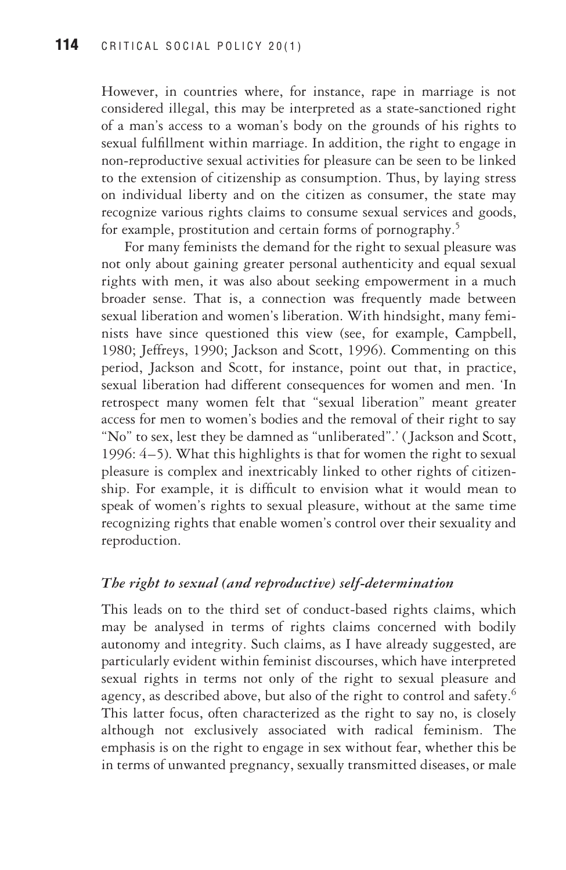However, in countries where, for instance, rape in marriage is not considered illegal, this may be interpreted as a state-sanctioned right of a man's access to a woman's body on the grounds of his rights to sexual fulfillment within marriage. In addition, the right to engage in non-reproductive sexual activities for pleasure can be seen to be linked to the extension of citizenship as consumption. Thus, by laying stress on individual liberty and on the citizen as consumer, the state may recognize various rights claims to consume sexual services and goods, for example, prostitution and certain forms of pornography.<sup>5</sup>

For many feminists the demand for the right to sexual pleasure was not only about gaining greater personal authenticity and equal sexual rights with men, it was also about seeking empowerment in a much broader sense. That is, a connection was frequently made between sexual liberation and women's liberation. With hindsight, many feminists have since questioned this view (see, for example, Campbell, 1980; Jeffreys, 1990; Jackson and Scott, 1996). Commenting on this period, Jackson and Scott, for instance, point out that, in practice, sexual liberation had different consequences for women and men. 'In retrospect many women felt that "sexual liberation" meant greater access for men to women's bodies and the removal of their right to say "No" to sex, lest they be damned as "unliberated".' ( Jackson and Scott, 1996: 4–5). What this highlights is that for women the right to sexual pleasure is complex and inextricably linked to other rights of citizenship. For example, it is difficult to envision what it would mean to speak of women's rights to sexual pleasure, without at the same time recognizing rights that enable women's control over their sexuality and reproduction.

## *The right to sexual (and reproductive) self-determination*

This leads on to the third set of conduct-based rights claims, which may be analysed in terms of rights claims concerned with bodily autonomy and integrity. Such claims, as I have already suggested, are particularly evident within feminist discourses, which have interpreted sexual rights in terms not only of the right to sexual pleasure and agency, as described above, but also of the right to control and safety.<sup>6</sup> This latter focus, often characterized as the right to say no, is closely although not exclusively associated with radical feminism. The emphasis is on the right to engage in sex without fear, whether this be in terms of unwanted pregnancy, sexually transmitted diseases, or male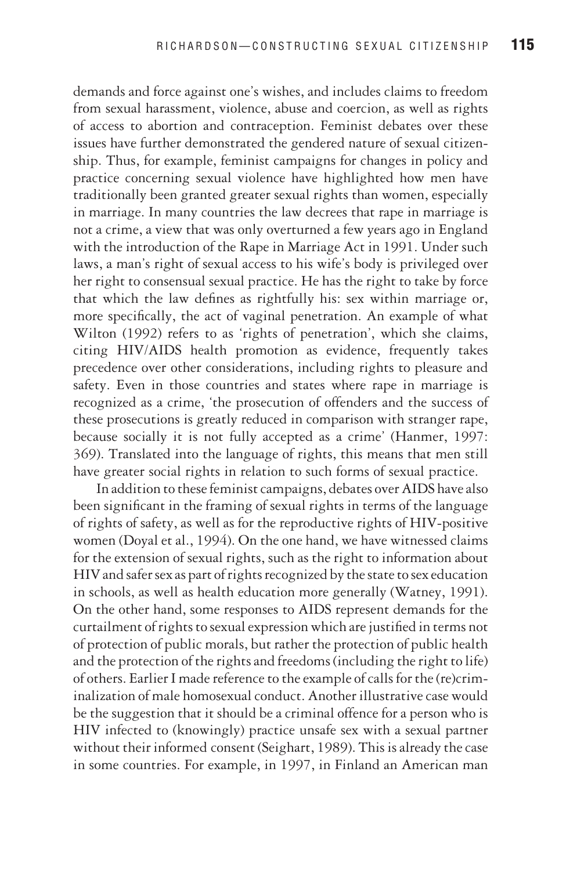demands and force against one's wishes, and includes claims to freedom from sexual harassment, violence, abuse and coercion, as well as rights of access to abortion and contraception. Feminist debates over these issues have further demonstrated the gendered nature of sexual citizenship. Thus, for example, feminist campaigns for changes in policy and practice concerning sexual violence have highlighted how men have traditionally been granted greater sexual rights than women, especially in marriage. In many countries the law decrees that rape in marriage is not a crime, a view that was only overturned a few years ago in England with the introduction of the Rape in Marriage Act in 1991. Under such laws, a man's right of sexual access to his wife's body is privileged over her right to consensual sexual practice. He has the right to take by force that which the law defines as rightfully his: sex within marriage or, more specifically, the act of vaginal penetration. An example of what Wilton (1992) refers to as 'rights of penetration', which she claims, citing HIV/AIDS health promotion as evidence, frequently takes precedence over other considerations, including rights to pleasure and safety. Even in those countries and states where rape in marriage is recognized as a crime, 'the prosecution of offenders and the success of these prosecutions is greatly reduced in comparison with stranger rape, because socially it is not fully accepted as a crime' (Hanmer, 1997: 369). Translated into the language of rights, this means that men still have greater social rights in relation to such forms of sexual practice.

In addition to these feminist campaigns, debates over AIDS have also been significant in the framing of sexual rights in terms of the language of rights of safety, as well as for the reproductive rights of HIV-positive women (Doyal et al., 1994). On the one hand, we have witnessed claims for the extension of sexual rights, such as the right to information about HIV and safer sex as part of rights recognized by the state to sex education in schools, as well as health education more generally (Watney, 1991). On the other hand, some responses to AIDS represent demands for the curtailment of rights to sexual expression which are justified in terms not of protection of public morals, but rather the protection of public health and the protection of the rights and freedoms (including the right to life) of others. Earlier I made reference to the example of calls for the (re)criminalization of male homosexual conduct. Another illustrative case would be the suggestion that it should be a criminal offence for a person who is HIV infected to (knowingly) practice unsafe sex with a sexual partner without their informed consent (Seighart, 1989). This is already the case in some countries. For example, in 1997, in Finland an American man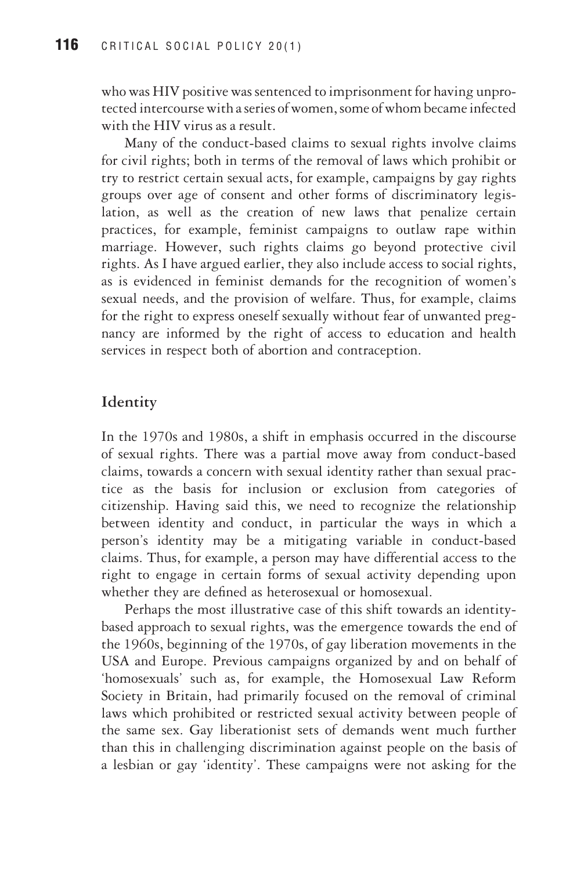who was HIV positive was sentenced to imprisonment for having unprotected intercourse with a series of women, some of whom became infected with the HIV virus as a result.

Many of the conduct-based claims to sexual rights involve claims for civil rights; both in terms of the removal of laws which prohibit or try to restrict certain sexual acts, for example, campaigns by gay rights groups over age of consent and other forms of discriminatory legislation, as well as the creation of new laws that penalize certain practices, for example, feminist campaigns to outlaw rape within marriage. However, such rights claims go beyond protective civil rights. As I have argued earlier, they also include access to social rights, as is evidenced in feminist demands for the recognition of women's sexual needs, and the provision of welfare. Thus, for example, claims for the right to express oneself sexually without fear of unwanted pregnancy are informed by the right of access to education and health services in respect both of abortion and contraception.

## **Identity**

In the 1970s and 1980s, a shift in emphasis occurred in the discourse of sexual rights. There was a partial move away from conduct-based claims, towards a concern with sexual identity rather than sexual practice as the basis for inclusion or exclusion from categories of citizenship. Having said this, we need to recognize the relationship between identity and conduct, in particular the ways in which a person's identity may be a mitigating variable in conduct-based claims. Thus, for example, a person may have differential access to the right to engage in certain forms of sexual activity depending upon whether they are defined as heterosexual or homosexual.

Perhaps the most illustrative case of this shift towards an identitybased approach to sexual rights, was the emergence towards the end of the 1960s, beginning of the 1970s, of gay liberation movements in the USA and Europe. Previous campaigns organized by and on behalf of 'homosexuals' such as, for example, the Homosexual Law Reform Society in Britain, had primarily focused on the removal of criminal laws which prohibited or restricted sexual activity between people of the same sex. Gay liberationist sets of demands went much further than this in challenging discrimination against people on the basis of a lesbian or gay 'identity'. These campaigns were not asking for the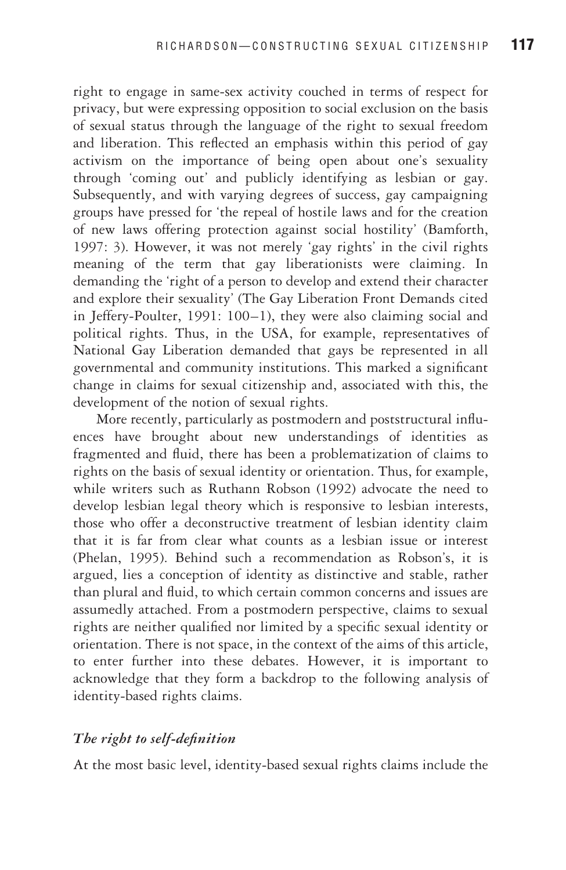right to engage in same-sex activity couched in terms of respect for privacy, but were expressing opposition to social exclusion on the basis of sexual status through the language of the right to sexual freedom and liberation. This reflected an emphasis within this period of gay activism on the importance of being open about one's sexuality through 'coming out' and publicly identifying as lesbian or gay. Subsequently, and with varying degrees of success, gay campaigning groups have pressed for 'the repeal of hostile laws and for the creation of new laws offering protection against social hostility' (Bamforth, 1997: 3). However, it was not merely 'gay rights' in the civil rights meaning of the term that gay liberationists were claiming. In demanding the 'right of a person to develop and extend their character and explore their sexuality' (The Gay Liberation Front Demands cited in Jeffery-Poulter, 1991: 100–1), they were also claiming social and political rights. Thus, in the USA, for example, representatives of National Gay Liberation demanded that gays be represented in all governmental and community institutions. This marked a significant change in claims for sexual citizenship and, associated with this, the development of the notion of sexual rights.

More recently, particularly as postmodern and poststructural influences have brought about new understandings of identities as fragmented and fluid, there has been a problematization of claims to rights on the basis of sexual identity or orientation. Thus, for example, while writers such as Ruthann Robson (1992) advocate the need to develop lesbian legal theory which is responsive to lesbian interests, those who offer a deconstructive treatment of lesbian identity claim that it is far from clear what counts as a lesbian issue or interest (Phelan, 1995). Behind such a recommendation as Robson's, it is argued, lies a conception of identity as distinctive and stable, rather than plural and fluid, to which certain common concerns and issues are assumedly attached. From a postmodern perspective, claims to sexual rights are neither qualified nor limited by a specific sexual identity or orientation. There is not space, in the context of the aims of this article, to enter further into these debates. However, it is important to acknowledge that they form a backdrop to the following analysis of identity-based rights claims.

## *The right to self-definition*

At the most basic level, identity-based sexual rights claims include the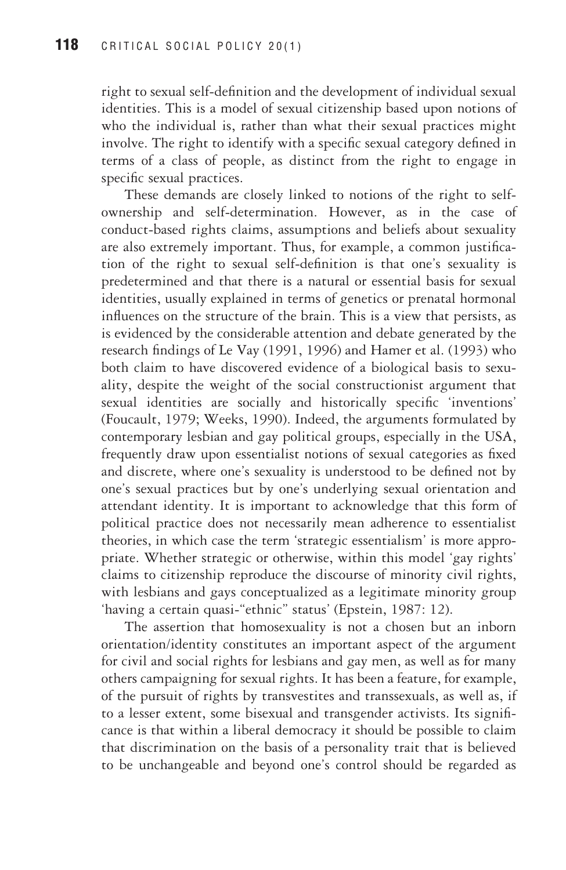right to sexual self-definition and the development of individual sexual identities. This is a model of sexual citizenship based upon notions of who the individual is, rather than what their sexual practices might involve. The right to identify with a specific sexual category defined in terms of a class of people, as distinct from the right to engage in specific sexual practices.

These demands are closely linked to notions of the right to selfownership and self-determination. However, as in the case of conduct-based rights claims, assumptions and beliefs about sexuality are also extremely important. Thus, for example, a common justification of the right to sexual self-definition is that one's sexuality is predetermined and that there is a natural or essential basis for sexual identities, usually explained in terms of genetics or prenatal hormonal influences on the structure of the brain. This is a view that persists, as is evidenced by the considerable attention and debate generated by the research findings of Le Vay (1991, 1996) and Hamer et al. (1993) who both claim to have discovered evidence of a biological basis to sexuality, despite the weight of the social constructionist argument that sexual identities are socially and historically specific 'inventions' (Foucault, 1979; Weeks, 1990). Indeed, the arguments formulated by contemporary lesbian and gay political groups, especially in the USA, frequently draw upon essentialist notions of sexual categories as fixed and discrete, where one's sexuality is understood to be defined not by one's sexual practices but by one's underlying sexual orientation and attendant identity. It is important to acknowledge that this form of political practice does not necessarily mean adherence to essentialist theories, in which case the term 'strategic essentialism' is more appropriate. Whether strategic or otherwise, within this model 'gay rights' claims to citizenship reproduce the discourse of minority civil rights, with lesbians and gays conceptualized as a legitimate minority group 'having a certain quasi-"ethnic" status' (Epstein, 1987: 12).

The assertion that homosexuality is not a chosen but an inborn orientation/identity constitutes an important aspect of the argument for civil and social rights for lesbians and gay men, as well as for many others campaigning for sexual rights. It has been a feature, for example, of the pursuit of rights by transvestites and transsexuals, as well as, if to a lesser extent, some bisexual and transgender activists. Its significance is that within a liberal democracy it should be possible to claim that discrimination on the basis of a personality trait that is believed to be unchangeable and beyond one's control should be regarded as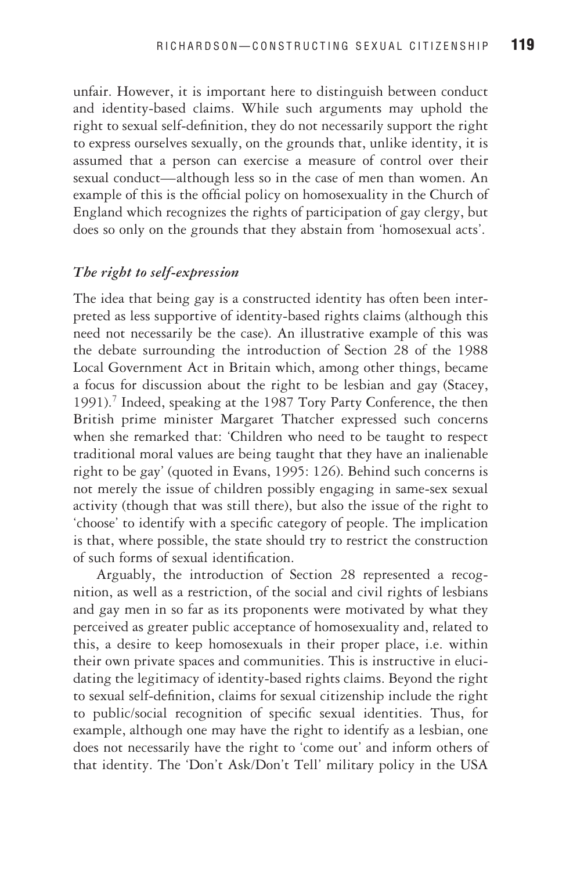unfair. However, it is important here to distinguish between conduct and identity-based claims. While such arguments may uphold the right to sexual self-definition, they do not necessarily support the right to express ourselves sexually, on the grounds that, unlike identity, it is assumed that a person can exercise a measure of control over their sexual conduct—although less so in the case of men than women. An example of this is the official policy on homosexuality in the Church of England which recognizes the rights of participation of gay clergy, but does so only on the grounds that they abstain from 'homosexual acts'.

#### *The right to self-expression*

The idea that being gay is a constructed identity has often been interpreted as less supportive of identity-based rights claims (although this need not necessarily be the case). An illustrative example of this was the debate surrounding the introduction of Section 28 of the 1988 Local Government Act in Britain which, among other things, became a focus for discussion about the right to be lesbian and gay (Stacey, 1991).<sup>7</sup> Indeed, speaking at the 1987 Tory Party Conference, the then British prime minister Margaret Thatcher expressed such concerns when she remarked that: 'Children who need to be taught to respect traditional moral values are being taught that they have an inalienable right to be gay' (quoted in Evans, 1995: 126). Behind such concerns is not merely the issue of children possibly engaging in same-sex sexual activity (though that was still there), but also the issue of the right to 'choose' to identify with a specific category of people. The implication is that, where possible, the state should try to restrict the construction of such forms of sexual identification.

Arguably, the introduction of Section 28 represented a recognition, as well as a restriction, of the social and civil rights of lesbians and gay men in so far as its proponents were motivated by what they perceived as greater public acceptance of homosexuality and, related to this, a desire to keep homosexuals in their proper place, i.e. within their own private spaces and communities. This is instructive in elucidating the legitimacy of identity-based rights claims. Beyond the right to sexual self-definition, claims for sexual citizenship include the right to public/social recognition of specific sexual identities. Thus, for example, although one may have the right to identify as a lesbian, one does not necessarily have the right to 'come out' and inform others of that identity. The 'Don't Ask/Don't Tell' military policy in the USA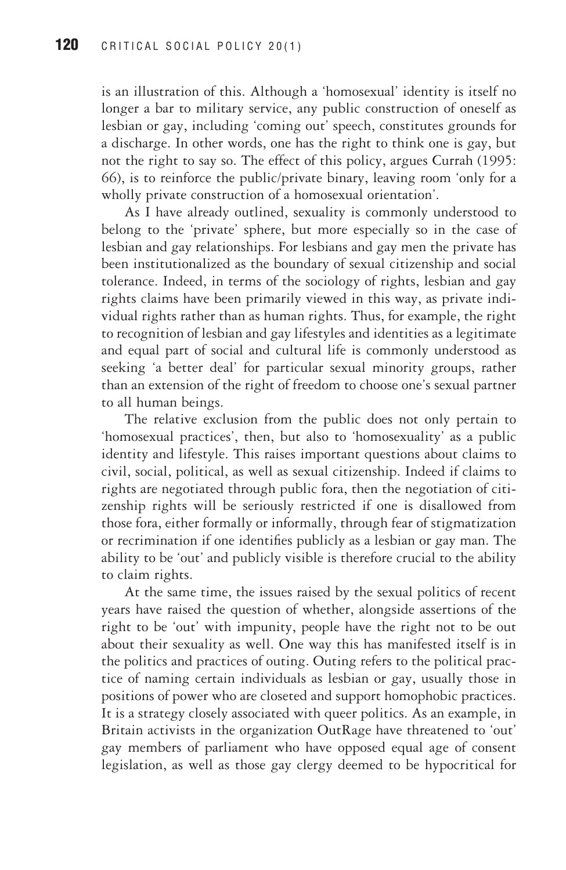is an illustration of this. Although a 'homosexual' identity is itself no longer a bar to military service, any public construction of oneself as lesbian or gay, including 'coming out' speech, constitutes grounds for a discharge. In other words, one has the right to think one is gay, but not the right to say so. The effect of this policy, argues Currah (1995: 66), is to reinforce the public/private binary, leaving room 'only for a wholly private construction of a homosexual orientation'.

As I have already outlined, sexuality is commonly understood to belong to the 'private' sphere, but more especially so in the case of lesbian and gay relationships. For lesbians and gay men the private has been institutionalized as the boundary of sexual citizenship and social tolerance. Indeed, in terms of the sociology of rights, lesbian and gay rights claims have been primarily viewed in this way, as private individual rights rather than as human rights. Thus, for example, the right to recognition of lesbian and gay lifestyles and identities as a legitimate and equal part of social and cultural life is commonly understood as seeking 'a better deal' for particular sexual minority groups, rather than an extension of the right of freedom to choose one's sexual partner to all human beings.

The relative exclusion from the public does not only pertain to 'homosexual practices', then, but also to 'homosexuality' as a public identity and lifestyle. This raises important questions about claims to civil, social, political, as well as sexual citizenship. Indeed if claims to rights are negotiated through public fora, then the negotiation of citizenship rights will be seriously restricted if one is disallowed from those fora, either formally or informally, through fear of stigmatization or recrimination if one identifies publicly as a lesbian or gay man. The ability to be 'out' and publicly visible is therefore crucial to the ability to claim rights.

At the same time, the issues raised by the sexual politics of recent years have raised the question of whether, alongside assertions of the right to be 'out' with impunity, people have the right not to be out about their sexuality as well. One way this has manifested itself is in the politics and practices of outing. Outing refers to the political practice of naming certain individuals as lesbian or gay, usually those in positions of power who are closeted and support homophobic practices. It is a strategy closely associated with queer politics. As an example, in Britain activists in the organization OutRage have threatened to 'out' gay members of parliament who have opposed equal age of consent legislation, as well as those gay clergy deemed to be hypocritical for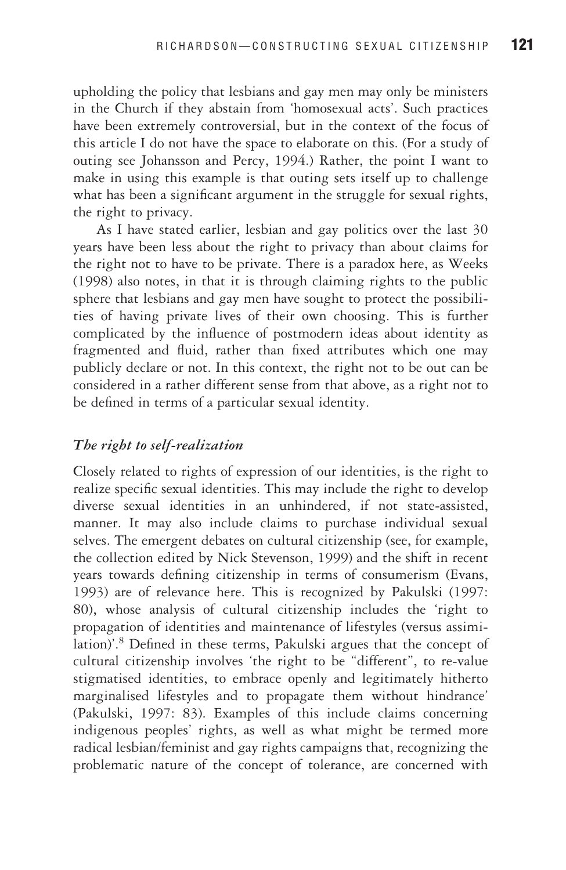upholding the policy that lesbians and gay men may only be ministers in the Church if they abstain from 'homosexual acts'. Such practices have been extremely controversial, but in the context of the focus of this article I do not have the space to elaborate on this. (For a study of outing see Johansson and Percy, 1994.) Rather, the point I want to make in using this example is that outing sets itself up to challenge what has been a significant argument in the struggle for sexual rights, the right to privacy.

As I have stated earlier, lesbian and gay politics over the last 30 years have been less about the right to privacy than about claims for the right not to have to be private. There is a paradox here, as Weeks (1998) also notes, in that it is through claiming rights to the public sphere that lesbians and gay men have sought to protect the possibilities of having private lives of their own choosing. This is further complicated by the influence of postmodern ideas about identity as fragmented and fluid, rather than fixed attributes which one may publicly declare or not. In this context, the right not to be out can be considered in a rather different sense from that above, as a right not to be defined in terms of a particular sexual identity.

## *The right to self-realization*

Closely related to rights of expression of our identities, is the right to realize specific sexual identities. This may include the right to develop diverse sexual identities in an unhindered, if not state-assisted, manner. It may also include claims to purchase individual sexual selves. The emergent debates on cultural citizenship (see, for example, the collection edited by Nick Stevenson, 1999) and the shift in recent years towards defining citizenship in terms of consumerism (Evans, 1993) are of relevance here. This is recognized by Pakulski (1997: 80), whose analysis of cultural citizenship includes the 'right to propagation of identities and maintenance of lifestyles (versus assimilation)'.8 Defined in these terms, Pakulski argues that the concept of cultural citizenship involves 'the right to be "different", to re-value stigmatised identities, to embrace openly and legitimately hitherto marginalised lifestyles and to propagate them without hindrance' (Pakulski, 1997: 83). Examples of this include claims concerning indigenous peoples' rights, as well as what might be termed more radical lesbian/feminist and gay rights campaigns that, recognizing the problematic nature of the concept of tolerance, are concerned with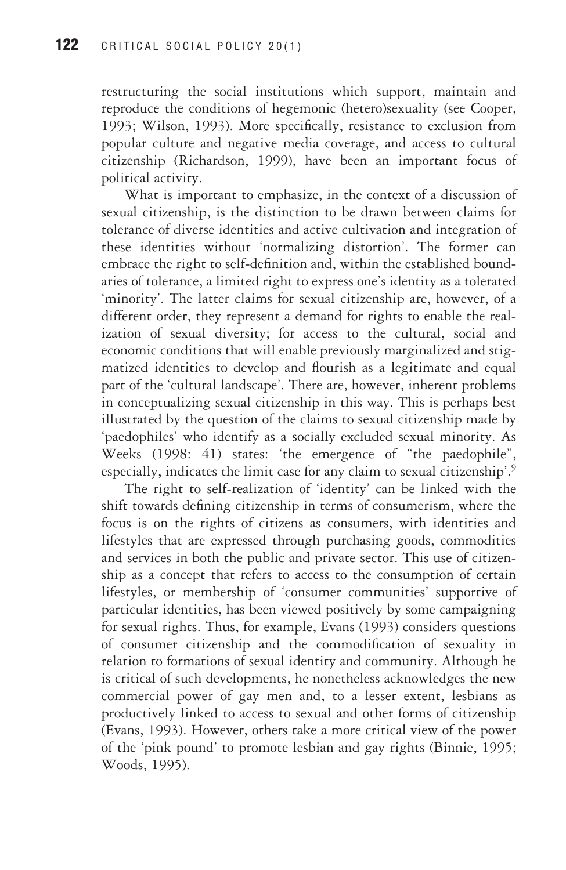restructuring the social institutions which support, maintain and reproduce the conditions of hegemonic (hetero)sexuality (see Cooper, 1993; Wilson, 1993). More specifically, resistance to exclusion from popular culture and negative media coverage, and access to cultural citizenship (Richardson, 1999), have been an important focus of political activity.

What is important to emphasize, in the context of a discussion of sexual citizenship, is the distinction to be drawn between claims for tolerance of diverse identities and active cultivation and integration of these identities without 'normalizing distortion'. The former can embrace the right to self-definition and, within the established boundaries of tolerance, a limited right to express one's identity as a tolerated 'minority'. The latter claims for sexual citizenship are, however, of a different order, they represent a demand for rights to enable the realization of sexual diversity; for access to the cultural, social and economic conditions that will enable previously marginalized and stigmatized identities to develop and flourish as a legitimate and equal part of the 'cultural landscape'. There are, however, inherent problems in conceptualizing sexual citizenship in this way. This is perhaps best illustrated by the question of the claims to sexual citizenship made by 'paedophiles' who identify as a socially excluded sexual minority. As Weeks (1998: 41) states: 'the emergence of "the paedophile", especially, indicates the limit case for any claim to sexual citizenship'.<sup>9</sup>

The right to self-realization of 'identity' can be linked with the shift towards defining citizenship in terms of consumerism, where the focus is on the rights of citizens as consumers, with identities and lifestyles that are expressed through purchasing goods, commodities and services in both the public and private sector. This use of citizenship as a concept that refers to access to the consumption of certain lifestyles, or membership of 'consumer communities' supportive of particular identities, has been viewed positively by some campaigning for sexual rights. Thus, for example, Evans (1993) considers questions of consumer citizenship and the commodification of sexuality in relation to formations of sexual identity and community. Although he is critical of such developments, he nonetheless acknowledges the new commercial power of gay men and, to a lesser extent, lesbians as productively linked to access to sexual and other forms of citizenship (Evans, 1993). However, others take a more critical view of the power of the 'pink pound' to promote lesbian and gay rights (Binnie, 1995; Woods, 1995).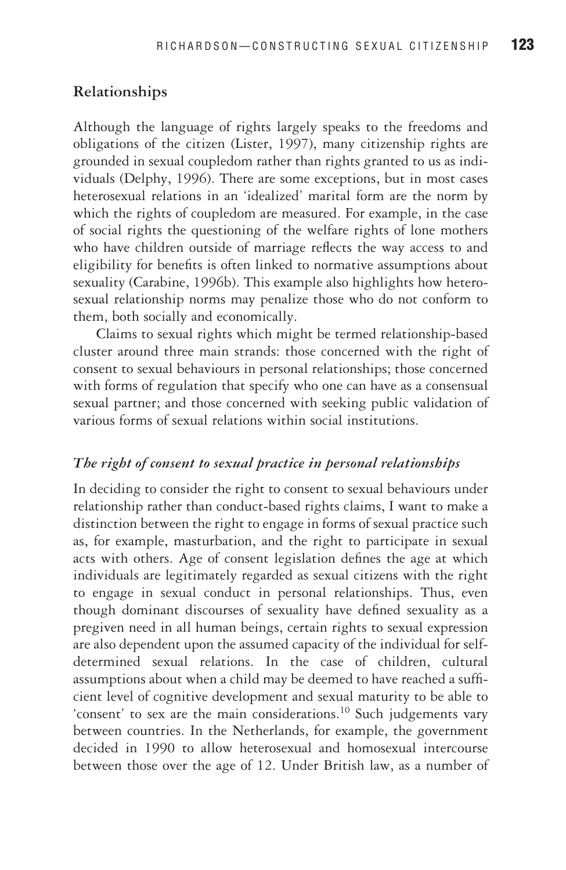## **Relationships**

Although the language of rights largely speaks to the freedoms and obligations of the citizen (Lister, 1997), many citizenship rights are grounded in sexual coupledom rather than rights granted to us as individuals (Delphy, 1996). There are some exceptions, but in most cases heterosexual relations in an 'idealized' marital form are the norm by which the rights of coupledom are measured. For example, in the case of social rights the questioning of the welfare rights of lone mothers who have children outside of marriage reflects the way access to and eligibility for benefits is often linked to normative assumptions about sexuality (Carabine, 1996b). This example also highlights how heterosexual relationship norms may penalize those who do not conform to them, both socially and economically.

Claims to sexual rights which might be termed relationship-based cluster around three main strands: those concerned with the right of consent to sexual behaviours in personal relationships; those concerned with forms of regulation that specify who one can have as a consensual sexual partner; and those concerned with seeking public validation of various forms of sexual relations within social institutions.

#### *The right of consent to sexual practice in personal relationships*

In deciding to consider the right to consent to sexual behaviours under relationship rather than conduct-based rights claims, I want to make a distinction between the right to engage in forms of sexual practice such as, for example, masturbation, and the right to participate in sexual acts with others. Age of consent legislation defines the age at which individuals are legitimately regarded as sexual citizens with the right to engage in sexual conduct in personal relationships. Thus, even though dominant discourses of sexuality have defined sexuality as a pregiven need in all human beings, certain rights to sexual expression are also dependent upon the assumed capacity of the individual for selfdetermined sexual relations. In the case of children, cultural assumptions about when a child may be deemed to have reached a sufficient level of cognitive development and sexual maturity to be able to 'consent' to sex are the main considerations.<sup>10</sup> Such judgements vary between countries. In the Netherlands, for example, the government decided in 1990 to allow heterosexual and homosexual intercourse between those over the age of 12. Under British law, as a number of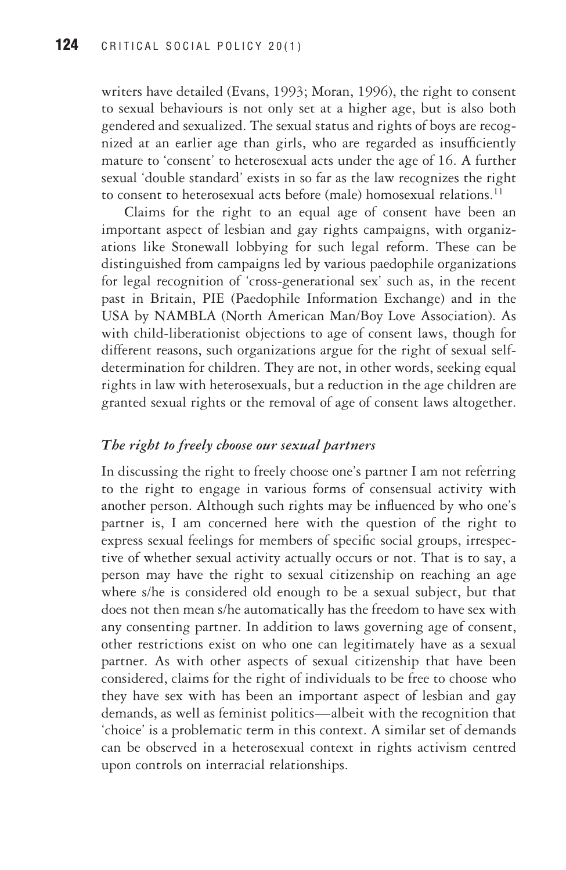writers have detailed (Evans, 1993; Moran, 1996), the right to consent to sexual behaviours is not only set at a higher age, but is also both gendered and sexualized. The sexual status and rights of boys are recognized at an earlier age than girls, who are regarded as insufficiently mature to 'consent' to heterosexual acts under the age of 16. A further sexual 'double standard' exists in so far as the law recognizes the right to consent to heterosexual acts before (male) homosexual relations.<sup>11</sup>

Claims for the right to an equal age of consent have been an important aspect of lesbian and gay rights campaigns, with organizations like Stonewall lobbying for such legal reform. These can be distinguished from campaigns led by various paedophile organizations for legal recognition of 'cross-generational sex' such as, in the recent past in Britain, PIE (Paedophile Information Exchange) and in the USA by NAMBLA (North American Man/Boy Love Association). As with child-liberationist objections to age of consent laws, though for different reasons, such organizations argue for the right of sexual selfdetermination for children. They are not, in other words, seeking equal rights in law with heterosexuals, but a reduction in the age children are granted sexual rights or the removal of age of consent laws altogether.

## *The right to freely choose our sexual partners*

In discussing the right to freely choose one's partner I am not referring to the right to engage in various forms of consensual activity with another person. Although such rights may be influenced by who one's partner is, I am concerned here with the question of the right to express sexual feelings for members of specific social groups, irrespective of whether sexual activity actually occurs or not. That is to say, a person may have the right to sexual citizenship on reaching an age where s/he is considered old enough to be a sexual subject, but that does not then mean s/he automatically has the freedom to have sex with any consenting partner. In addition to laws governing age of consent, other restrictions exist on who one can legitimately have as a sexual partner. As with other aspects of sexual citizenship that have been considered, claims for the right of individuals to be free to choose who they have sex with has been an important aspect of lesbian and gay demands, as well as feminist politics—albeit with the recognition that 'choice' is a problematic term in this context. A similar set of demands can be observed in a heterosexual context in rights activism centred upon controls on interracial relationships.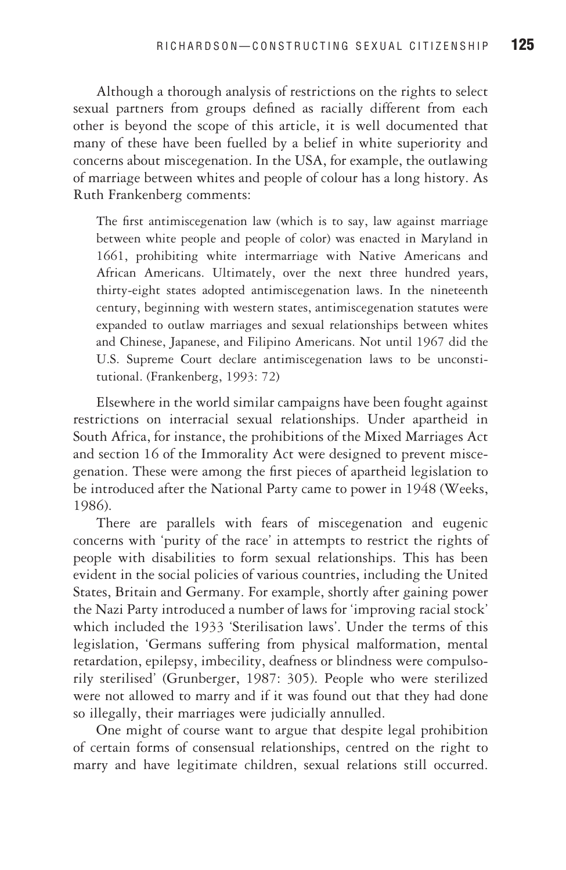Although a thorough analysis of restrictions on the rights to select sexual partners from groups defined as racially different from each other is beyond the scope of this article, it is well documented that many of these have been fuelled by a belief in white superiority and concerns about miscegenation. In the USA, for example, the outlawing of marriage between whites and people of colour has a long history. As Ruth Frankenberg comments:

The first antimiscegenation law (which is to say, law against marriage between white people and people of color) was enacted in Maryland in 1661, prohibiting white intermarriage with Native Americans and African Americans. Ultimately, over the next three hundred years, thirty-eight states adopted antimiscegenation laws. In the nineteenth century, beginning with western states, antimiscegenation statutes were expanded to outlaw marriages and sexual relationships between whites and Chinese, Japanese, and Filipino Americans. Not until 1967 did the U.S. Supreme Court declare antimiscegenation laws to be unconstitutional. (Frankenberg, 1993: 72)

Elsewhere in the world similar campaigns have been fought against restrictions on interracial sexual relationships. Under apartheid in South Africa, for instance, the prohibitions of the Mixed Marriages Act and section 16 of the Immorality Act were designed to prevent miscegenation. These were among the first pieces of apartheid legislation to be introduced after the National Party came to power in 1948 (Weeks, 1986).

There are parallels with fears of miscegenation and eugenic concerns with 'purity of the race' in attempts to restrict the rights of people with disabilities to form sexual relationships. This has been evident in the social policies of various countries, including the United States, Britain and Germany. For example, shortly after gaining power the Nazi Party introduced a number of laws for 'improving racial stock' which included the 1933 'Sterilisation laws'. Under the terms of this legislation, 'Germans suffering from physical malformation, mental retardation, epilepsy, imbecility, deafness or blindness were compulsorily sterilised' (Grunberger, 1987: 305). People who were sterilized were not allowed to marry and if it was found out that they had done so illegally, their marriages were judicially annulled.

One might of course want to argue that despite legal prohibition of certain forms of consensual relationships, centred on the right to marry and have legitimate children, sexual relations still occurred.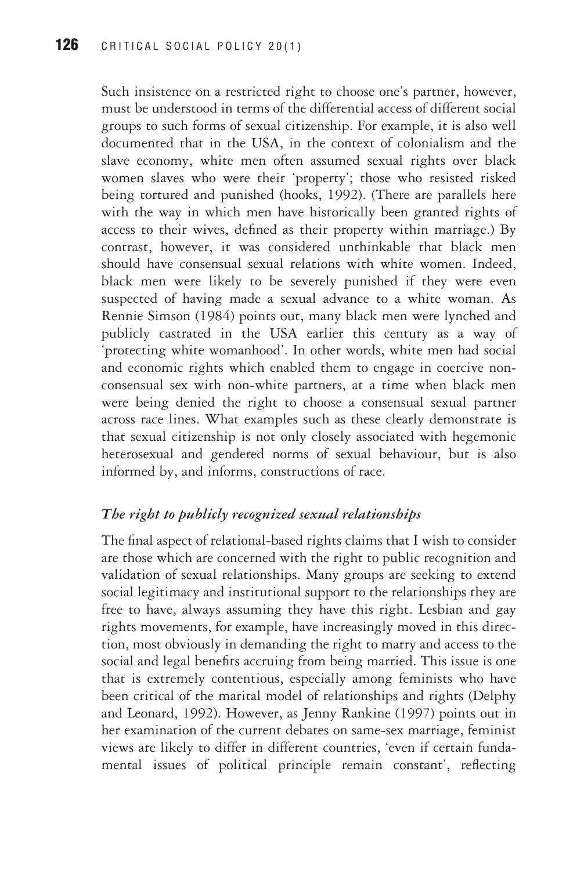Such insistence on a restricted right to choose one's partner, however, must be understood in terms of the differential access of different social groups to such forms of sexual citizenship. For example, it is also well documented that in the USA, in the context of colonialism and the slave economy, white men often assumed sexual rights over black women slaves who were their 'property'; those who resisted risked being tortured and punished (hooks, 1992). (There are parallels here with the way in which men have historically been granted rights of access to their wives, defined as their property within marriage.) By contrast, however, it was considered unthinkable that black men should have consensual sexual relations with white women. Indeed, black men were likely to be severely punished if they were even suspected of having made a sexual advance to a white woman. As Rennie Simson (1984) points out, many black men were lynched and publicly castrated in the USA earlier this century as a way of 'protecting white womanhood'. In other words, white men had social and economic rights which enabled them to engage in coercive nonconsensual sex with non-white partners, at a time when black men were being denied the right to choose a consensual sexual partner across race lines. What examples such as these clearly demonstrate is that sexual citizenship is not only closely associated with hegemonic heterosexual and gendered norms of sexual behaviour, but is also informed by, and informs, constructions of race.

## *The right to publicly recognized sexual relationships*

The final aspect of relational-based rights claims that I wish to consider are those which are concerned with the right to public recognition and validation of sexual relationships. Many groups are seeking to extend social legitimacy and institutional support to the relationships they are free to have, always assuming they have this right. Lesbian and gay rights movements, for example, have increasingly moved in this direction, most obviously in demanding the right to marry and access to the social and legal benefits accruing from being married. This issue is one that is extremely contentious, especially among feminists who have been critical of the marital model of relationships and rights (Delphy and Leonard, 1992). However, as Jenny Rankine (1997) points out in her examination of the current debates on same-sex marriage, feminist views are likely to differ in different countries, 'even if certain fundamental issues of political principle remain constant', reflecting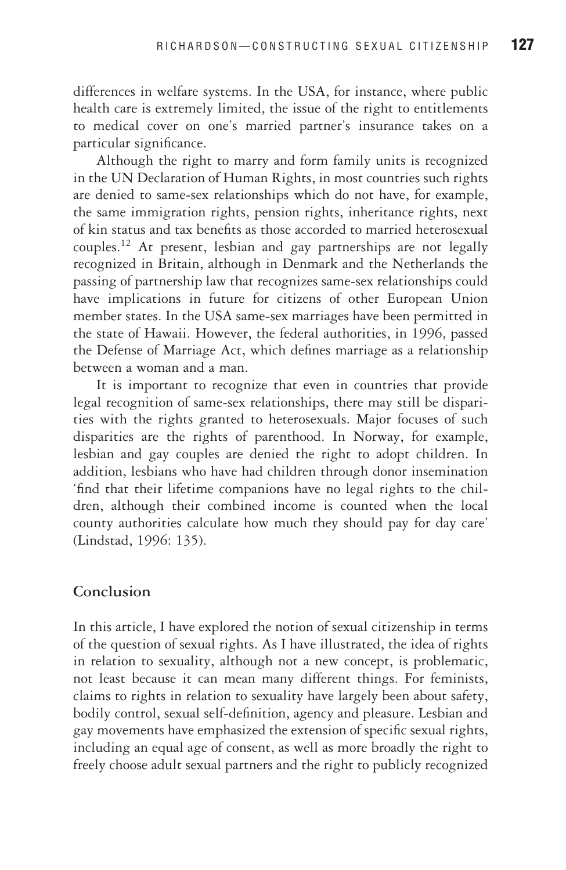differences in welfare systems. In the USA, for instance, where public health care is extremely limited, the issue of the right to entitlements to medical cover on one's married partner's insurance takes on a particular significance.

Although the right to marry and form family units is recognized in the UN Declaration of Human Rights, in most countries such rights are denied to same-sex relationships which do not have, for example, the same immigration rights, pension rights, inheritance rights, next of kin status and tax benefits as those accorded to married heterosexual couples.12 At present, lesbian and gay partnerships are not legally recognized in Britain, although in Denmark and the Netherlands the passing of partnership law that recognizes same-sex relationships could have implications in future for citizens of other European Union member states. In the USA same-sex marriages have been permitted in the state of Hawaii. However, the federal authorities, in 1996, passed the Defense of Marriage Act, which defines marriage as a relationship between a woman and a man.

It is important to recognize that even in countries that provide legal recognition of same-sex relationships, there may still be disparities with the rights granted to heterosexuals. Major focuses of such disparities are the rights of parenthood. In Norway, for example, lesbian and gay couples are denied the right to adopt children. In addition, lesbians who have had children through donor insemination 'find that their lifetime companions have no legal rights to the children, although their combined income is counted when the local county authorities calculate how much they should pay for day care' (Lindstad, 1996: 135).

## **Conclusion**

In this article, I have explored the notion of sexual citizenship in terms of the question of sexual rights. As I have illustrated, the idea of rights in relation to sexuality, although not a new concept, is problematic, not least because it can mean many different things. For feminists, claims to rights in relation to sexuality have largely been about safety, bodily control, sexual self-definition, agency and pleasure. Lesbian and gay movements have emphasized the extension of specific sexual rights, including an equal age of consent, as well as more broadly the right to freely choose adult sexual partners and the right to publicly recognized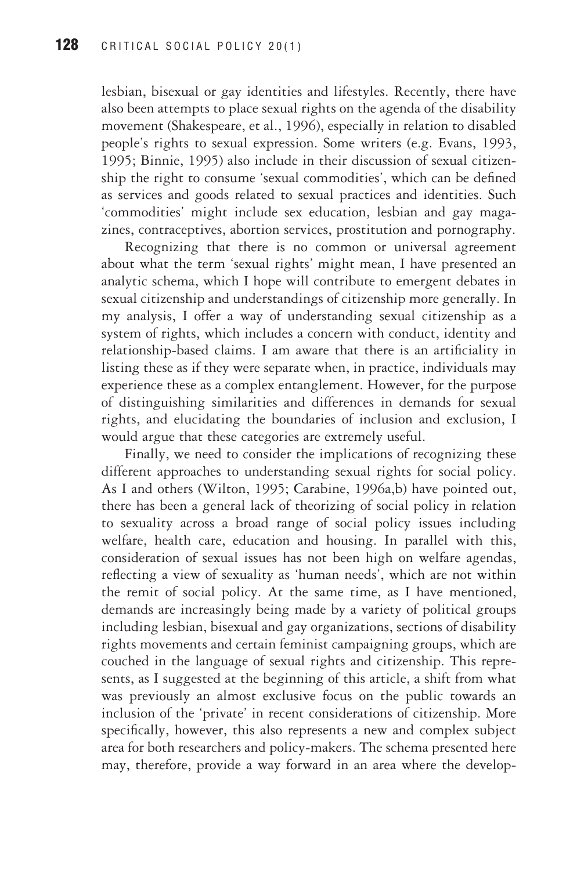lesbian, bisexual or gay identities and lifestyles. Recently, there have also been attempts to place sexual rights on the agenda of the disability movement (Shakespeare, et al., 1996), especially in relation to disabled people's rights to sexual expression. Some writers (e.g. Evans, 1993, 1995; Binnie, 1995) also include in their discussion of sexual citizenship the right to consume 'sexual commodities', which can be defined as services and goods related to sexual practices and identities. Such 'commodities' might include sex education, lesbian and gay magazines, contraceptives, abortion services, prostitution and pornography.

Recognizing that there is no common or universal agreement about what the term 'sexual rights' might mean, I have presented an analytic schema, which I hope will contribute to emergent debates in sexual citizenship and understandings of citizenship more generally. In my analysis, I offer a way of understanding sexual citizenship as a system of rights, which includes a concern with conduct, identity and relationship-based claims. I am aware that there is an artificiality in listing these as if they were separate when, in practice, individuals may experience these as a complex entanglement. However, for the purpose of distinguishing similarities and differences in demands for sexual rights, and elucidating the boundaries of inclusion and exclusion, I would argue that these categories are extremely useful.

Finally, we need to consider the implications of recognizing these different approaches to understanding sexual rights for social policy. As I and others (Wilton, 1995; Carabine, 1996a,b) have pointed out, there has been a general lack of theorizing of social policy in relation to sexuality across a broad range of social policy issues including welfare, health care, education and housing. In parallel with this, consideration of sexual issues has not been high on welfare agendas, reflecting a view of sexuality as 'human needs', which are not within the remit of social policy. At the same time, as I have mentioned, demands are increasingly being made by a variety of political groups including lesbian, bisexual and gay organizations, sections of disability rights movements and certain feminist campaigning groups, which are couched in the language of sexual rights and citizenship. This represents, as I suggested at the beginning of this article, a shift from what was previously an almost exclusive focus on the public towards an inclusion of the 'private' in recent considerations of citizenship. More specifically, however, this also represents a new and complex subject area for both researchers and policy-makers. The schema presented here may, therefore, provide a way forward in an area where the develop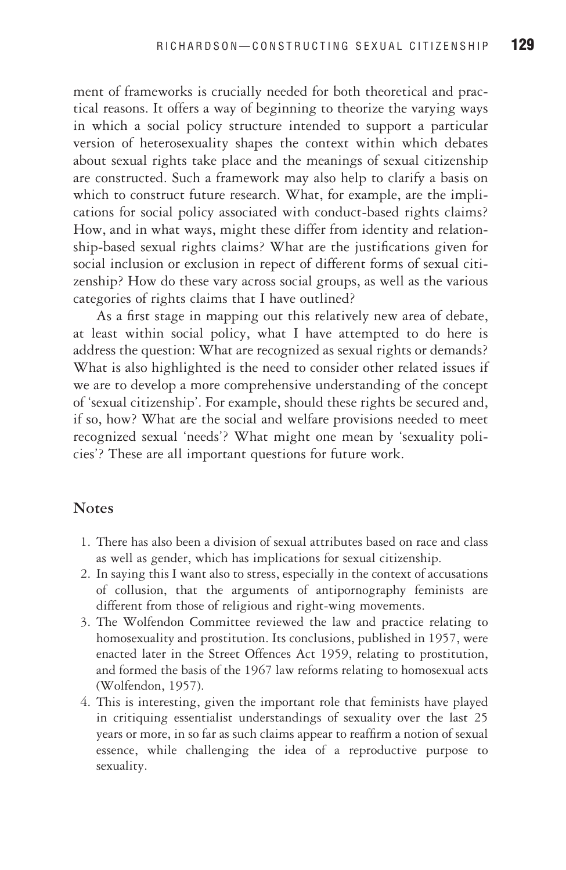ment of frameworks is crucially needed for both theoretical and practical reasons. It offers a way of beginning to theorize the varying ways in which a social policy structure intended to support a particular version of heterosexuality shapes the context within which debates about sexual rights take place and the meanings of sexual citizenship are constructed. Such a framework may also help to clarify a basis on which to construct future research. What, for example, are the implications for social policy associated with conduct-based rights claims? How, and in what ways, might these differ from identity and relationship-based sexual rights claims? What are the justifications given for social inclusion or exclusion in repect of different forms of sexual citizenship? How do these vary across social groups, as well as the various categories of rights claims that I have outlined?

As a first stage in mapping out this relatively new area of debate, at least within social policy, what I have attempted to do here is address the question: What are recognized as sexual rights or demands? What is also highlighted is the need to consider other related issues if we are to develop a more comprehensive understanding of the concept of 'sexual citizenship'. For example, should these rights be secured and, if so, how? What are the social and welfare provisions needed to meet recognized sexual 'needs'? What might one mean by 'sexuality policies'? These are all important questions for future work.

#### **Notes**

- 1. There has also been a division of sexual attributes based on race and class as well as gender, which has implications for sexual citizenship.
- 2. In saying this I want also to stress, especially in the context of accusations of collusion, that the arguments of antipornography feminists are different from those of religious and right-wing movements.
- 3. The Wolfendon Committee reviewed the law and practice relating to homosexuality and prostitution. Its conclusions, published in 1957, were enacted later in the Street Offences Act 1959, relating to prostitution, and formed the basis of the 1967 law reforms relating to homosexual acts (Wolfendon, 1957).
- 4. This is interesting, given the important role that feminists have played in critiquing essentialist understandings of sexuality over the last 25 years or more, in so far as such claims appear to reaffirm a notion of sexual essence, while challenging the idea of a reproductive purpose to sexuality.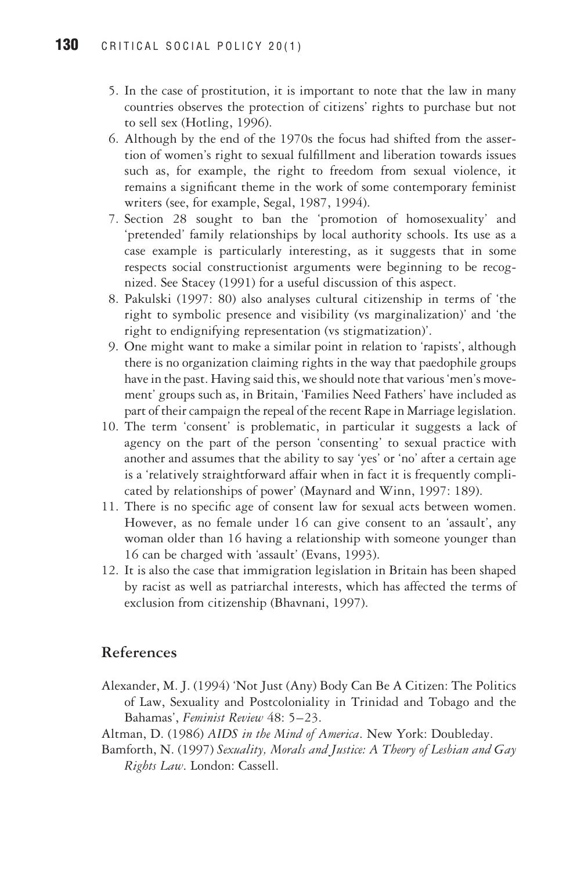- 5. In the case of prostitution, it is important to note that the law in many countries observes the protection of citizens' rights to purchase but not to sell sex (Hotling, 1996).
- 6. Although by the end of the 1970s the focus had shifted from the assertion of women's right to sexual fulfillment and liberation towards issues such as, for example, the right to freedom from sexual violence, it remains a significant theme in the work of some contemporary feminist writers (see, for example, Segal, 1987, 1994).
- 7. Section 28 sought to ban the 'promotion of homosexuality' and 'pretended' family relationships by local authority schools. Its use as a case example is particularly interesting, as it suggests that in some respects social constructionist arguments were beginning to be recognized. See Stacey (1991) for a useful discussion of this aspect.
- 8. Pakulski (1997: 80) also analyses cultural citizenship in terms of 'the right to symbolic presence and visibility (vs marginalization)' and 'the right to endignifying representation (vs stigmatization)'.
- 9. One might want to make a similar point in relation to 'rapists', although there is no organization claiming rights in the way that paedophile groups have in the past. Having said this, we should note that various 'men's movement' groups such as, in Britain, 'Families Need Fathers' have included as part of their campaign the repeal of the recent Rape in Marriage legislation.
- 10. The term 'consent' is problematic, in particular it suggests a lack of agency on the part of the person 'consenting' to sexual practice with another and assumes that the ability to say 'yes' or 'no' after a certain age is a 'relatively straightforward affair when in fact it is frequently complicated by relationships of power' (Maynard and Winn, 1997: 189).
- 11. There is no specific age of consent law for sexual acts between women. However, as no female under 16 can give consent to an 'assault', any woman older than 16 having a relationship with someone younger than 16 can be charged with 'assault' (Evans, 1993).
- 12. It is also the case that immigration legislation in Britain has been shaped by racist as well as patriarchal interests, which has affected the terms of exclusion from citizenship (Bhavnani, 1997).

# **References**

- Alexander, M. J. (1994) 'Not Just (Any) Body Can Be A Citizen: The Politics of Law, Sexuality and Postcoloniality in Trinidad and Tobago and the Bahamas', *Feminist Review* 48: 5–23.
- Altman, D. (1986) *AIDS in the Mind of America*. New York: Doubleday.
- Bamforth, N. (1997) *Sexuality, Morals and Justice: A Theory of Lesbian and Gay Rights Law*. London: Cassell.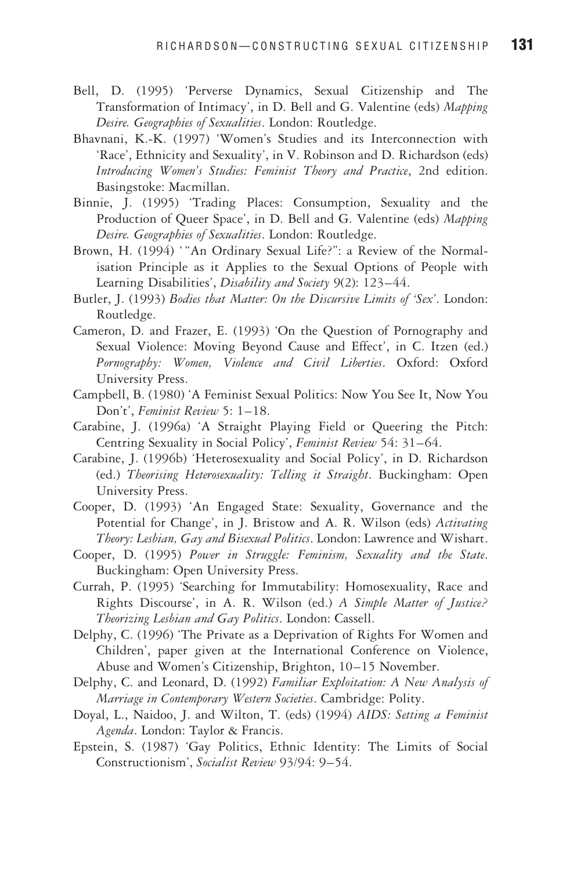- Bell, D. (1995) 'Perverse Dynamics, Sexual Citizenship and The Transformation of Intimacy', in D. Bell and G. Valentine (eds) *Mapping Desire. Geographies of Sexualities*. London: Routledge.
- Bhavnani, K.-K. (1997) 'Women's Studies and its Interconnection with 'Race', Ethnicity and Sexuality', in V. Robinson and D. Richardson (eds) *Introducing Women's Studies: Feminist Theory and Practice*, 2nd edition. Basingstoke: Macmillan.
- Binnie, J. (1995) 'Trading Places: Consumption, Sexuality and the Production of Queer Space', in D. Bell and G. Valentine (eds) *Mapping Desire. Geographies of Sexualities*. London: Routledge.
- Brown, H. (1994) "An Ordinary Sexual Life?": a Review of the Normalisation Principle as it Applies to the Sexual Options of People with Learning Disabilities', *Disability and Society* 9(2): 123–44.
- Butler, J. (1993) *Bodies that Matter: On the Discursive Limits of 'Sex'*. London: Routledge.
- Cameron, D. and Frazer, E. (1993) 'On the Question of Pornography and Sexual Violence: Moving Beyond Cause and Effect', in C. Itzen (ed.) *Pornography: Women, Violence and Civil Liberties*. Oxford: Oxford University Press.
- Campbell, B. (1980) 'A Feminist Sexual Politics: Now You See It, Now You Don't', *Feminist Review* 5: 1–18.
- Carabine, J. (1996a) 'A Straight Playing Field or Queering the Pitch: Centring Sexuality in Social Policy', *Feminist Review* 54: 31–64.
- Carabine, J. (1996b) 'Heterosexuality and Social Policy', in D. Richardson (ed.) *Theorising Heterosexuality: Telling it Straight*. Buckingham: Open University Press.
- Cooper, D. (1993) 'An Engaged State: Sexuality, Governance and the Potential for Change', in J. Bristow and A. R. Wilson (eds) *Activating Theory: Lesbian, Gay and Bisexual Politics*. London: Lawrence and Wishart.
- Cooper, D. (1995) *Power in Struggle: Feminism, Sexuality and the State*. Buckingham: Open University Press.
- Currah, P. (1995) 'Searching for Immutability: Homosexuality, Race and Rights Discourse', in A. R. Wilson (ed.) *A Simple Matter of Justice? Theorizing Lesbian and Gay Politics*. London: Cassell.
- Delphy, C. (1996) 'The Private as a Deprivation of Rights For Women and Children', paper given at the International Conference on Violence, Abuse and Women's Citizenship, Brighton, 10–15 November.
- Delphy, C. and Leonard, D. (1992) *Familiar Exploitation: A New Analysis of Marriage in Contemporary Western Societies*. Cambridge: Polity.
- Doyal, L., Naidoo, J. and Wilton, T. (eds) (1994) *AIDS: Setting a Feminist Agenda*. London: Taylor & Francis.
- Epstein, S. (1987) 'Gay Politics, Ethnic Identity: The Limits of Social Constructionism', *Socialist Review* 93/94: 9–54.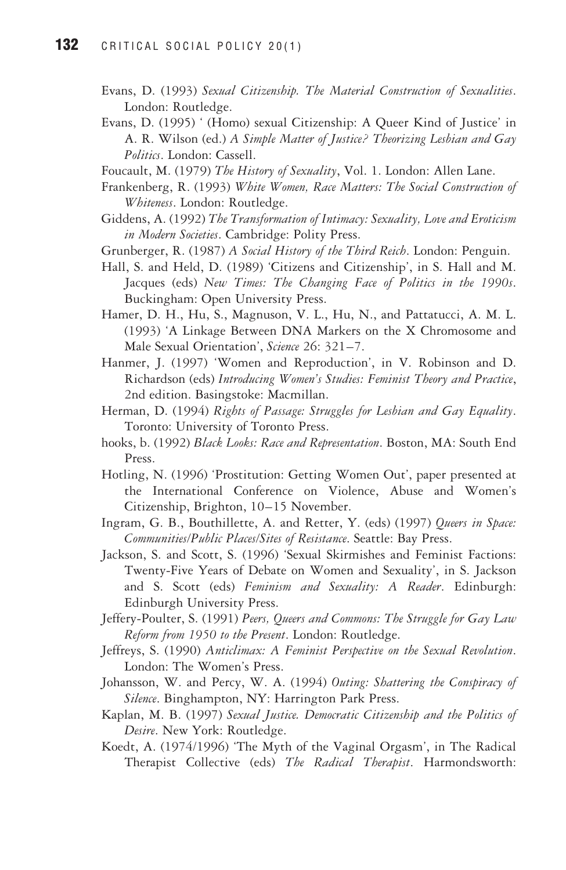- Evans, D. (1993) *Sexual Citizenship. The Material Construction of Sexualities*. London: Routledge.
- Evans, D. (1995) ' (Homo) sexual Citizenship: A Queer Kind of Justice' in A. R. Wilson (ed.) *A Simple Matter of Justice? Theorizing Lesbian and Gay Politics*. London: Cassell.
- Foucault, M. (1979) *The History of Sexuality*, Vol. 1. London: Allen Lane.
- Frankenberg, R. (1993) *White Women, Race Matters: The Social Construction of Whiteness*. London: Routledge.
- Giddens, A. (1992) *The Transformation of Intimacy: Sexuality, Love and Eroticism in Modern Societies*. Cambridge: Polity Press.
- Grunberger, R. (1987) *A Social History of the Third Reich*. London: Penguin.
- Hall, S. and Held, D. (1989) 'Citizens and Citizenship', in S. Hall and M. Jacques (eds) *New Times: The Changing Face of Politics in the 1990s*. Buckingham: Open University Press.
- Hamer, D. H., Hu, S., Magnuson, V. L., Hu, N., and Pattatucci, A. M. L. (1993) 'A Linkage Between DNA Markers on the X Chromosome and Male Sexual Orientation', *Science* 26: 321–7.
- Hanmer, J. (1997) 'Women and Reproduction', in V. Robinson and D. Richardson (eds) *Introducing Women's Studies: Feminist Theory and Practice*, 2nd edition. Basingstoke: Macmillan.
- Herman, D. (1994) *Rights of Passage: Struggles for Lesbian and Gay Equality*. Toronto: University of Toronto Press.
- hooks, b. (1992) *Black Looks: Race and Representation*. Boston, MA: South End Press.
- Hotling, N. (1996) 'Prostitution: Getting Women Out', paper presented at the International Conference on Violence, Abuse and Women's Citizenship, Brighton, 10–15 November.
- Ingram, G. B., Bouthillette, A. and Retter, Y. (eds) (1997) *Queers in Space: Communities/Public Places/Sites of Resistance*. Seattle: Bay Press.
- Jackson, S. and Scott, S. (1996) 'Sexual Skirmishes and Feminist Factions: Twenty-Five Years of Debate on Women and Sexuality', in S. Jackson and S. Scott (eds) *Feminism and Sexuality: A Reader*. Edinburgh: Edinburgh University Press.
- Jeffery-Poulter, S. (1991) *Peers, Queers and Commons: The Struggle for Gay Law Reform from 1950 to the Present*. London: Routledge.
- Jeffreys, S. (1990) *Anticlimax: A Feminist Perspective on the Sexual Revolution*. London: The Women's Press.
- Johansson, W. and Percy, W. A. (1994) *Outing: Shattering the Conspiracy of Silence*. Binghampton, NY: Harrington Park Press.
- Kaplan, M. B. (1997) *Sexual Justice. Democratic Citizenship and the Politics of Desire*. New York: Routledge.
- Koedt, A. (1974/1996) 'The Myth of the Vaginal Orgasm', in The Radical Therapist Collective (eds) *The Radical Therapist*. Harmondsworth: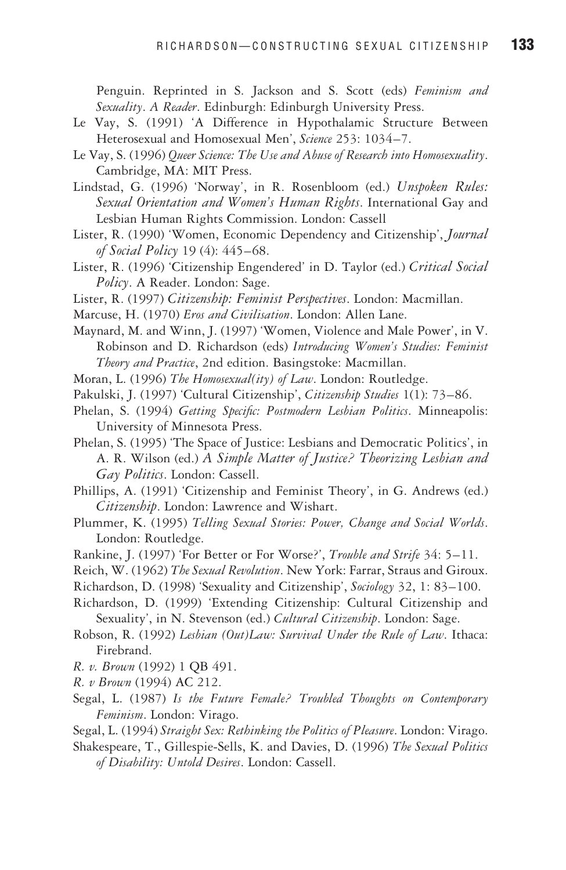Penguin. Reprinted in S. Jackson and S. Scott (eds) *Feminism and Sexuality*. *A Reader*. Edinburgh: Edinburgh University Press.

- Le Vay, S. (1991) 'A Difference in Hypothalamic Structure Between Heterosexual and Homosexual Men', *Science* 253: 1034–7.
- Le Vay, S. (1996) *Queer Science: The Use and Abuse of Research into Homosexuality*. Cambridge, MA: MIT Press.
- Lindstad, G. (1996) 'Norway', in R. Rosenbloom (ed.) *Unspoken Rules: Sexual Orientation and Women's Human Rights*. International Gay and Lesbian Human Rights Commission. London: Cassell
- Lister, R. (1990) 'Women, Economic Dependency and Citizenship', *Journal of Social Policy* 19 (4): 445–68.
- Lister, R. (1996) 'Citizenship Engendered' in D. Taylor (ed.) *Critical Social Policy*. A Reader. London: Sage.
- Lister, R. (1997) *Citizenship: Feminist Perspectives*. London: Macmillan.
- Marcuse, H. (1970) *Eros and Civilisation*. London: Allen Lane.
- Maynard, M. and Winn, J. (1997) 'Women, Violence and Male Power', in V. Robinson and D. Richardson (eds) *Introducing Women's Studies: Feminist Theory and Practice*, 2nd edition. Basingstoke: Macmillan.
- Moran, L. (1996) *The Homosexual(ity) of Law*. London: Routledge.
- Pakulski, J. (1997) 'Cultural Citizenship', *Citizenship Studies* 1(1): 73–86.
- Phelan, S. (1994) *Getting Specific: Postmodern Lesbian Politics*. Minneapolis: University of Minnesota Press.
- Phelan, S. (1995) 'The Space of Justice: Lesbians and Democratic Politics', in A. R. Wilson (ed.) *A Simple Matter of Justice? Theorizing Lesbian and Gay Politics*. London: Cassell.
- Phillips, A. (1991) 'Citizenship and Feminist Theory', in G. Andrews (ed.) *Citizenship*. London: Lawrence and Wishart.
- Plummer, K. (1995) *Telling Sexual Stories: Power, Change and Social Worlds*. London: Routledge.
- Rankine, J. (1997) 'For Better or For Worse?', *Trouble and Strife* 34: 5–11.
- Reich, W. (1962) *The Sexual Revolution*. New York: Farrar, Straus and Giroux.
- Richardson, D. (1998) 'Sexuality and Citizenship', *Sociology* 32, 1: 83–100.
- Richardson, D. (1999) 'Extending Citizenship: Cultural Citizenship and Sexuality', in N. Stevenson (ed.) *Cultural Citizenship*. London: Sage.
- Robson, R. (1992) *Lesbian (Out)Law: Survival Under the Rule of Law*. Ithaca: Firebrand.
- *R. v. Brown* (1992) 1 QB 491.
- *R. v Brown* (1994) AC 212.
- Segal, L. (1987) *Is the Future Female? Troubled Thoughts on Contemporary Feminism*. London: Virago.
- Segal, L. (1994) *Straight Sex: Rethinking the Politics of Pleasure*. London: Virago.
- Shakespeare, T., Gillespie-Sells, K. and Davies, D. (1996) *The Sexual Politics of Disability: Untold Desires*. London: Cassell.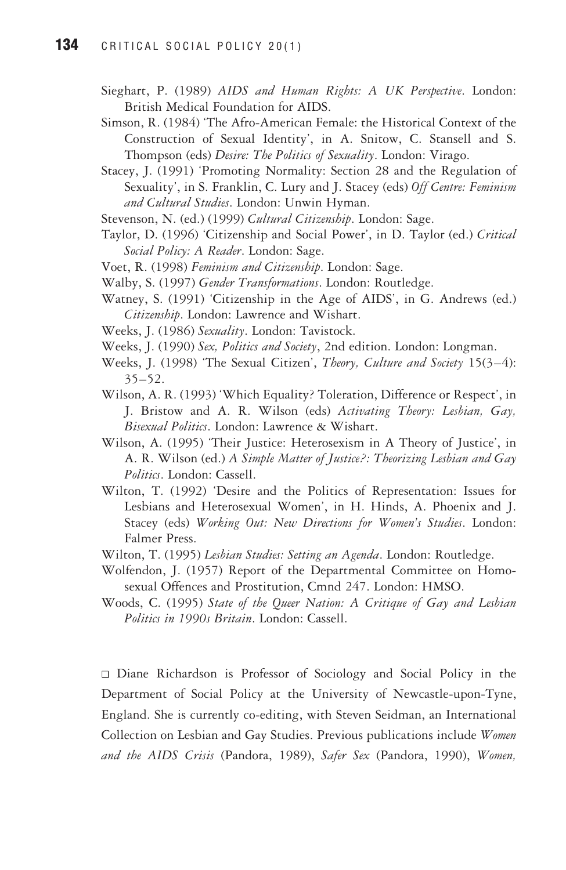- <span id="page-29-0"></span>Sieghart, P. (1989) *AIDS and Human Rights: A UK Perspective*. London: British Medical Foundation for AIDS.
- Simson, R. (1984) 'The Afro-American Female: the Historical Context of the Construction of Sexual Identity', in A. Snitow, C. Stansell and S. Thompson (eds) *Desire: The Politics of Sexuality*. London: Virago.
- Stacey, J. (1991) 'Promoting Normality: Section 28 and the Regulation of Sexuality', in S. Franklin, C. Lury and J. Stacey (eds) *Off Centre: Feminism and Cultural Studies*. London: Unwin Hyman.
- Stevenson, N. (ed.) (1999) *Cultural Citizenship*. London: Sage.
- Taylor, D. (1996) 'Citizenship and Social Power', in D. Taylor (ed.) *Critical Social Policy: A Reader*. London: Sage.
- Voet, R. (1998) *Feminism and Citizenship*. London: Sage.
- Walby, S. (1997) *Gender Transformations*. London: Routledge.
- Watney, S. (1991) 'Citizenship in the Age of AIDS', in G. Andrews (ed.) *Citizenship*. London: Lawrence and Wishart.
- Weeks, J. (1986) *Sexuality*. London: Tavistock.
- Weeks, J. (1990) *Sex, Politics and Society*, 2nd edition. London: Longman.
- Weeks, J. (1998) 'The Sexual Citizen', *Theory, Culture and Society* 15(3–4): 35–52.
- Wilson, A. R. (1993) 'Which Equality? Toleration, Difference or Respect', in J. Bristow and A. R. Wilson (eds) *Activating Theory: Lesbian, Gay, Bisexual Politics*. London: Lawrence & Wishart.
- Wilson, A. (1995) 'Their Justice: Heterosexism in A Theory of Justice', in A. R. Wilson (ed.) *A Simple Matter of Justice?: Theorizing Lesbian and Gay Politics*. London: Cassell.
- Wilton, T. (1992) 'Desire and the Politics of Representation: Issues for Lesbians and Heterosexual Women', in H. Hinds, A. Phoenix and J. Stacey (eds) *Working Out: New Directions for Women's Studies*. London: Falmer Press.
- Wilton, T. (1995) *Lesbian Studies: Setting an Agenda*. London: Routledge.
- Wolfendon, J. (1957) Report of the Departmental Committee on Homosexual Offences and Prostitution, Cmnd 247. London: HMSO.
- Woods, C. (1995) *State of the Queer Nation: A Critique of Gay and Lesbian Politics in 1990s Britain*. London: Cassell.

❑ Diane Richardson is Professor of Sociology and Social Policy in the Department of Social Policy at the University of Newcastle-upon-Tyne, England. She is currently co-editing, with Steven Seidman, an International Collection on Lesbian and Gay Studies. Previous publications include *Women and the AIDS Crisis* (Pandora, 1989), *Safer Sex* (Pandora, 1990), *Women,*